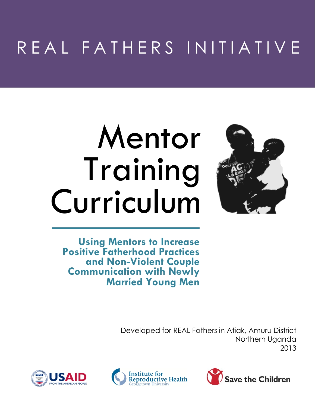## R E A L F A T H E R S I N I T I A T I V E

# Mentor Training Curriculum



**Using Mentors to Increase Positive Fatherhood Practices and Non-Violent Couple Communication with Newly Married Young Men**

> Developed for REAL Fathers in Atiak, Amuru District Northern Uganda 2013





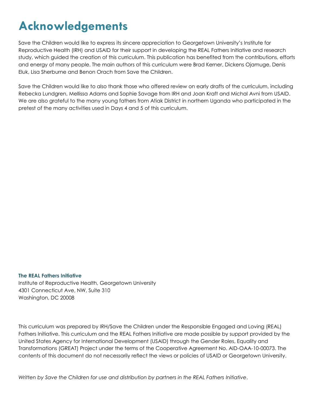### **Acknowledgements**

Save the Children would like to express its sincere appreciation to Georgetown University's Institute for Reproductive Health (IRH) and USAID for their support in developing the REAL Fathers Initiative and research study, which guided the creation of this curriculum. This publication has benefited from the contributions, efforts and energy of many people. The main authors of this curriculum were Brad Kerner, Dickens Ojamuge, Denis Eluk, Lisa Sherburne and Benon Orach from Save the Children.

Save the Children would like to also thank those who offered review on early drafts of the curriculum, including Rebecka Lundgren, Mellissa Adams and Sophie Savage from IRH and Joan Kraft and Michal Avni from USAID. We are also grateful to the many young fathers from Atiak District in northern Uganda who participated in the pretest of the many activities used in Days 4 and 5 of this curriculum.

#### **The REAL Fathers Initiative**

Institute of Reproductive Health, Georgetown University 4301 Connecticut Ave, NW, Suite 310 Washington, DC 20008

This curriculum was prepared by IRH/Save the Children under the Responsible Engaged and Loving (REAL) Fathers Initiative. This curriculum and the REAL Fathers Initiative are made possible by support provided by the United States Agency for International Development (USAID) through the Gender Roles, Equality and Transformations (GREAT) Project under the terms of the Cooperative Agreement No. AID-OAA-10-00073. The contents of this document do not necessarily reflect the views or policies of USAID or Georgetown University.

*Written by Save the Children for use and distribution by partners in the REAL Fathers Initiative*.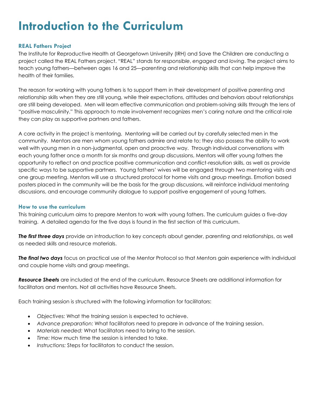### **Introduction to the Curriculum**

#### **REAL Fathers Project**

The Institute for Reproductive Health at Georgetown University (IRH) and Save the Children are conducting a project called the REAL Fathers project. "REAL" stands for *responsible*, *engaged* and *loving*. The project aims to teach young fathers—between ages 16 and 25—parenting and relationship skills that can help improve the health of their families.

The reason for working with young fathers is to support them in their development of positive parenting and relationship skills when they are still young, while their expectations, attitudes and behaviors about relationships are still being developed. Men will learn effective communication and problem-solving skills through the lens of "positive masculinity." This approach to male involvement recognizes men's caring nature and the critical role they can play as supportive partners and fathers.

A core activity in the project is mentoring. Mentoring will be carried out by carefully selected men in the community. Mentors are men whom young fathers admire and relate to; they also possess the ability to work well with young men in a non-judgmental, open and proactive way. Through individual conversations with each young father once a month for six months and group discussions, Mentors will offer young fathers the opportunity to reflect on and practice positive communication and conflict-resolution skills, as well as provide specific ways to be supportive partners. Young fathers' wives will be engaged through two mentoring visits and one group meeting. Mentors will use a structured protocol for home visits and group meetings. Emotion based posters placed in the community will be the basis for the group discussions, will reinforce individual mentoring discussions, and encourage community dialogue to support positive engagement of young fathers.

#### **How to use the curriculum**

This training curriculum aims to prepare Mentors to work with young fathers. The curriculum guides a five-day training. A detailed agenda for the five days is found in the first section of this curriculum.

*The first three days* provide an introduction to key concepts about gender, parenting and relationships, as well as needed skills and resource materials.

*The final two days* focus on practical use of the Mentor Protocol so that Mentors gain experience with individual and couple home visits and group meetings.

*Resource Sheets* are included at the end of the curriculum. Resource Sheets are additional information for facilitators and mentors. Not all activities have Resource Sheets.

Each training session is structured with the following information for facilitators:

- *Objectives:* What the training session is expected to achieve.
- *Advance preparation:* What facilitators need to prepare in advance of the training session.
- *Materials needed:* What facilitators need to bring to the session.
- *Time:* How much time the session is intended to take.
- *Instructions:* Steps for facilitators to conduct the session.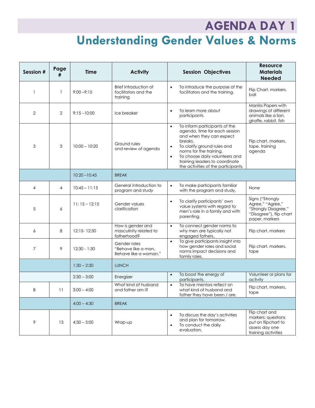### **AGENDA DAY 1 Understanding Gender Values & Norms**

| Session # | Page<br># | Time            | <b>Activity</b>                                              | <b>Session Objectives</b>                                                                                                                                                                                                                                                                                         | <b>Resource</b><br><b>Materials</b><br><b>Needed</b>                                                      |
|-----------|-----------|-----------------|--------------------------------------------------------------|-------------------------------------------------------------------------------------------------------------------------------------------------------------------------------------------------------------------------------------------------------------------------------------------------------------------|-----------------------------------------------------------------------------------------------------------|
| 1         | 1         | $9:00 - 9:15$   | Brief introduction of<br>facilitators and the<br>training    | To introduce the purpose of the<br>$\bullet$<br>facilitators and the training.                                                                                                                                                                                                                                    | Flip Chart, markers,<br>ball                                                                              |
| 2         | 2         | $9:15 - 10:00$  | Ice breaker                                                  | To learn more about<br>$\bullet$<br>participants.                                                                                                                                                                                                                                                                 | Manila Papers with<br>drawings of different<br>animals like a lion,<br>giraffe, rabbit, fish              |
| 3         | 3         | $10:00 - 10:20$ | Ground rules<br>and review of agenda                         | To inform participants of the<br>$\bullet$<br>agenda, time for each session<br>and when they can expect<br>breaks.<br>To clarify ground rules and<br>$\bullet$<br>norms for the training.<br>To choose daily volunteers and<br>$\bullet$<br>training leaders to coordinate<br>the activities of the participants. | Flip chart, markers,<br>tape, training<br>agenda                                                          |
|           |           | $10:20 - 10:45$ | <b>BREAK</b>                                                 |                                                                                                                                                                                                                                                                                                                   |                                                                                                           |
| 4         | 4         | $10:45 - 11:15$ | General introduction to<br>program and study                 | To make participants familiar<br>$\bullet$<br>with the program and study.                                                                                                                                                                                                                                         | None                                                                                                      |
| 5         | 6         | $11:15 - 12:15$ | Gender values<br>clarification                               | To clarify participants' own<br>value systems with regard to<br>men's role in a family and with<br>parenting.                                                                                                                                                                                                     | Signs ("Strongly<br>Agree," "Agree,"<br>"Strongly Disagree,"<br>"Disagree"), flip chart<br>paper, markers |
| 6         | 8         | 12:15-12:30     | How is gender and<br>masculinity related to<br>fatherhood?   | To connect gender norms to<br>$\bullet$<br>why men are typically not<br>engaged fathers,                                                                                                                                                                                                                          | Flip chart, markers                                                                                       |
| 7         | 9         | $12:30 - 1:30$  | Gender roles<br>"Behave like a man,<br>Behave like a woman." | To give participants insight into<br>$\bullet$<br>how gender roles and social<br>norms impact decisions and<br>family roles.                                                                                                                                                                                      | Flip chart, markers,<br>tape                                                                              |
|           |           | $1:30 - 2:30$   | <b>LUNCH</b>                                                 |                                                                                                                                                                                                                                                                                                                   |                                                                                                           |
|           |           | $2:30 - 3:00$   | Energizer                                                    | To boost the energy of<br>$\bullet$<br>participants.                                                                                                                                                                                                                                                              | Volunteer or plans for<br>activity                                                                        |
| 8         | 11        | $3:00 - 4:00$   | What kind of husband<br>and father am I?                     | To have mentors reflect on<br>$\bullet$<br>what kind of husband and<br>father they have been / are.                                                                                                                                                                                                               | Flip chart, markers,<br>tape                                                                              |
|           |           | $4:00 - 4:30$   | <b>BREAK</b>                                                 |                                                                                                                                                                                                                                                                                                                   |                                                                                                           |
| 9         | 13        | $4:30 - 5:00$   | Wrap-up                                                      | To discuss the day's activities<br>$\bullet$<br>and plan for tomorrow.<br>To conduct the daily<br>evaluation.                                                                                                                                                                                                     | Flip chart and<br>markers; questions<br>put on flipchart to<br>assess day one<br>training activities      |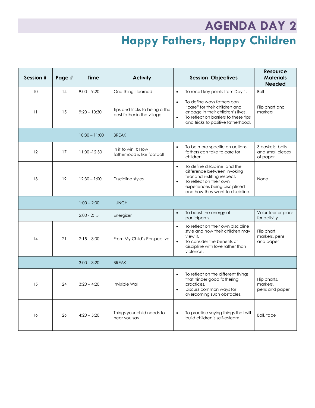### **AGENDA DAY 2 Happy Fathers, Happy Children**

| Session # | Page # | Time            | <b>Activity</b>                                              | <b>Session Objectives</b>                                                                                                                                                                                              | Resource<br><b>Materials</b><br><b>Needed</b>    |
|-----------|--------|-----------------|--------------------------------------------------------------|------------------------------------------------------------------------------------------------------------------------------------------------------------------------------------------------------------------------|--------------------------------------------------|
| 10        | 14     | $9:00 - 9:20$   | One thing I learned                                          | To recall key points from Day 1.<br>$\bullet$                                                                                                                                                                          | Ball                                             |
| 11        | 15     | $9:20 - 10:30$  | Tips and tricks to being a the<br>best father in the village | To define ways fathers can<br>$\bullet$<br>"care" for their children and<br>engage in their children's lives.<br>To reflect on barriers to these tips<br>$\bullet$<br>and tricks to positive fatherhood.               | Flip chart and<br>markers                        |
|           |        | $10:30 - 11:00$ | <b>BREAK</b>                                                 |                                                                                                                                                                                                                        |                                                  |
| 12        | 17     | $11:00 - 12:30$ | In it to win it: How<br>fatherhood is like football          | To be more specific on actions<br>$\bullet$<br>fathers can take to care for<br>children.                                                                                                                               | 3 baskets, balls<br>and small pieces<br>of paper |
| 13        | 19     | $12:30 - 1:00$  | Discipline styles                                            | To define discipline, and the<br>$\bullet$<br>difference between invoking<br>fear and instilling respect.<br>To reflect on their own<br>$\bullet$<br>experiences being disciplined<br>and how they want to discipline. | None                                             |
|           |        | $1:00 - 2:00$   | <b>LUNCH</b>                                                 |                                                                                                                                                                                                                        |                                                  |
|           |        | $2:00 - 2:15$   | Energizer                                                    | To boost the energy of<br>$\bullet$<br>participants.                                                                                                                                                                   | Volunteer or plans<br>for activity               |
| 14        | 21     | $2:15 - 3:00$   | From My Child's Perspective                                  | To reflect on their own discipline<br>$\bullet$<br>style and how their children may<br>view it.<br>$\bullet$<br>To consider the benefits of<br>discipline with love rather than<br>violence.                           | Flip chart,<br>markers, pens<br>and paper        |
|           |        | $3:00 - 3:20$   | <b>BREAK</b>                                                 |                                                                                                                                                                                                                        |                                                  |
| 15        | 24     | $3:20 - 4:20$   | Invisible Wall                                               | To reflect on the different things<br>$\bullet$<br>that hinder good fathering<br>practices.<br>Discuss common ways for<br>$\bullet$<br>overcoming such obstacles.                                                      | Flip charts,<br>markers,<br>pens and paper       |
| 16        | 26     | $4:20 - 5:20$   | Things your child needs to<br>hear you say                   | To practice saying things that will<br>$\bullet$<br>build children's self-esteem.                                                                                                                                      | Ball, tape                                       |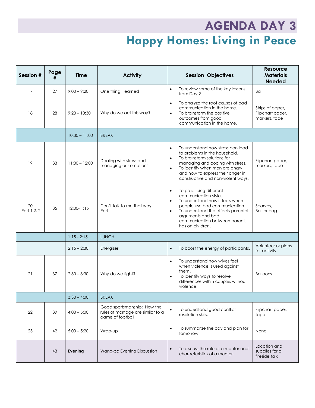### **AGENDA DAY 3 Happy Homes: Living in Peace**

| Session #        | Page<br># | <b>Time</b>     | <b>Activity</b>                                                                       | <b>Session Objectives</b>                                                                                                                                                                                                                                                                 | <b>Resource</b><br><b>Materials</b><br><b>Needed</b>  |
|------------------|-----------|-----------------|---------------------------------------------------------------------------------------|-------------------------------------------------------------------------------------------------------------------------------------------------------------------------------------------------------------------------------------------------------------------------------------------|-------------------------------------------------------|
| 17               | 27        | $9:00 - 9:20$   | One thing I learned                                                                   | To review some of the key lessons<br>$\bullet$<br>from Day 2.                                                                                                                                                                                                                             | <b>Ball</b>                                           |
| 18               | 28        | $9:20 - 10:30$  | Why do we act this way?                                                               | To analyze the root causes of bad<br>$\bullet$<br>communication in the home.<br>To brainstorm the positive<br>$\bullet$<br>outcomes from good<br>communication in the home.                                                                                                               | Strips of paper,<br>Flipchart paper,<br>markers, tape |
|                  |           | $10:30 - 11:00$ | <b>BREAK</b>                                                                          |                                                                                                                                                                                                                                                                                           |                                                       |
| 19               | 33        | $11:00 - 12:00$ | Dealing with stress and<br>managing our emotions                                      | To understand how stress can lead<br>$\bullet$<br>to problems in the household.<br>To brainstorm solutions for<br>$\bullet$<br>managing and coping with stress.<br>To identify when men are angry<br>$\bullet$<br>and how to express their anger in<br>constructive and non-violent ways. | Flipchart paper,<br>markers, tape                     |
| 20<br>Part 1 & 2 | 35        | $12:00 - 1:15$  | Don't talk to me that way!<br>Part I                                                  | To practicing different<br>$\bullet$<br>communication styles.<br>To understand how it feels when<br>$\bullet$<br>people use bad communication.<br>To understand the effects parental<br>$\bullet$<br>arguments and bad<br>communication between parents<br>has on children.               | Scarves,<br><b>Ball or bag</b>                        |
|                  |           | $1:15 - 2:15$   | <b>LUNCH</b>                                                                          |                                                                                                                                                                                                                                                                                           |                                                       |
|                  |           | $2:15 - 2:30$   | Energizer                                                                             | To boost the energy of participants.<br>$\bullet$                                                                                                                                                                                                                                         | Volunteer or plans<br>for activity                    |
| 21               | 37        | $2:30 - 3:30$   | Why do we fight?                                                                      | To understand how wives feel<br>$\bullet$<br>when violence is used against<br>them.<br>To identify ways to resolve<br>$\bullet$<br>differences within couples without<br>violence.                                                                                                        | <b>Balloons</b>                                       |
|                  |           | $3:30 - 4:00$   | <b>BREAK</b>                                                                          |                                                                                                                                                                                                                                                                                           |                                                       |
| 22               | 39        | $4:00 - 5:00$   | Good sportsmanship: How the<br>rules of marriage are similar to a<br>game of football | To understand good conflict<br>$\bullet$<br>resolution skills.                                                                                                                                                                                                                            | Flipchart paper,<br>tape                              |
| 23               | 42        | $5:00 - 5:20$   | Wrap-up                                                                               | To summarize the day and plan for<br>$\bullet$<br>tomorrow.                                                                                                                                                                                                                               | None                                                  |
|                  | 43        | Evening         | Wang-oo Evening Discussion                                                            | To discuss the role of a mentor and<br>characteristics of a mentor.                                                                                                                                                                                                                       | Location and<br>supplies for a<br>fireside talk       |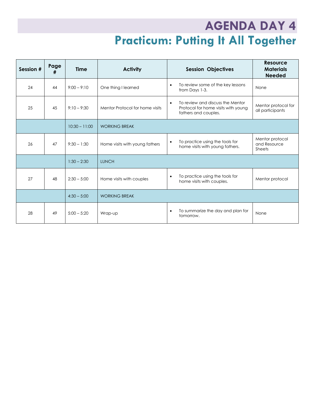### **AGENDA DAY 4 Practicum: Putting It All Together**

| Session # | Page<br># | <b>Time</b>     | <b>Activity</b>                 | <b>Session Objectives</b>                                                                                    | <b>Resource</b><br><b>Materials</b><br><b>Needed</b> |
|-----------|-----------|-----------------|---------------------------------|--------------------------------------------------------------------------------------------------------------|------------------------------------------------------|
| 24        | 44        | $9:00 - 9:10$   | One thing I learned             | To review some of the key lessons<br>$\bullet$<br>from Days 1-3.                                             | None                                                 |
| 25        | 45        | $9:10 - 9:30$   | Mentor Protocol for home visits | To review and discuss the Mentor<br>$\bullet$<br>Protocol for home visits with young<br>fathers and couples. | Mentor protocol for<br>all participants              |
|           |           | $10:30 - 11:00$ | <b>WORKING BREAK</b>            |                                                                                                              |                                                      |
| 26        | 47        | $9:30 - 1:30$   | Home visits with young fathers  | To practice using the tools for<br>$\bullet$<br>home visits with young fathers.                              | Mentor protocol<br>and Resource<br><b>Sheets</b>     |
|           |           | $1:30 - 2:30$   | <b>LUNCH</b>                    |                                                                                                              |                                                      |
| 27        | 48        | $2:30 - 5:00$   | Home visits with couples        | To practice using the tools for<br>$\bullet$<br>home visits with couples.                                    | Mentor protocol                                      |
|           |           | $4:30 - 5:00$   | <b>WORKING BREAK</b>            |                                                                                                              |                                                      |
| 28        | 49        | $5:00 - 5:20$   | Wrap-up                         | To summarize the day and plan for<br>$\bullet$<br>tomorrow.                                                  | None                                                 |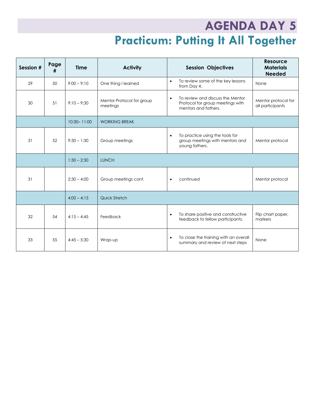### **AGENDA DAY 5 Practicum: Putting It All Together**

| Session # | Page<br># | <b>Time</b>     | <b>Activity</b>                       | <b>Session Objectives</b>                                                                                 | <b>Resource</b><br><b>Materials</b><br><b>Needed</b> |
|-----------|-----------|-----------------|---------------------------------------|-----------------------------------------------------------------------------------------------------------|------------------------------------------------------|
| 29        | 50        | $9:00 - 9:10$   | One thing I learned                   | To review some of the key lessons<br>$\bullet$<br>from Day 4.                                             | None                                                 |
| 30        | 51        | $9:10 - 9:30$   | Mentor Protocol for group<br>meetings | To review and discuss the Mentor<br>$\bullet$<br>Protocol for group meetings with<br>mentors and fathers. | Mentor protocol for<br>all participants              |
|           |           | $10:30 - 11:00$ | <b>WORKING BREAK</b>                  |                                                                                                           |                                                      |
| 31        | 52        | $9:30 - 1:30$   | Group meetings                        | To practice using the tools for<br>$\bullet$<br>group meetings with mentors and<br>young fathers.         | Mentor protocol                                      |
|           |           | $1:30 - 2:30$   | <b>LUNCH</b>                          |                                                                                                           |                                                      |
| 31        |           | $2:30 - 4:00$   | Group meetings cont.                  | continued                                                                                                 | Mentor protocol                                      |
|           |           | $4:00 - 4:15$   | Quick Stretch                         |                                                                                                           |                                                      |
| 32        | 54        | $4:15 - 4:45$   | Feedback                              | To share positive and constructive<br>$\bullet$<br>feedback to fellow participants.                       | Flip chart paper,<br>markers                         |
| 33        | 55        | $4:45 - 5:30$   | Wrap-up                               | To close the training with an overall<br>$\bullet$<br>summary and review of next steps                    | None                                                 |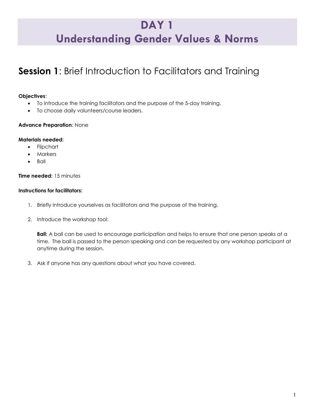### **DAY 1 Understanding Gender Values & Norms**

### **Session 1**: Brief Introduction to Facilitators and Training

#### **Objectives**:

- To introduce the training facilitators and the purpose of the 5-day training.
- To choose daily volunteers/course leaders.

#### **Advance Preparation**: None

#### **Materials needed:**

- Flipchart
- Markers
- Ball

#### **Time needed:** 15 minutes

#### **Instructions for facilitators:**

- 1. Briefly introduce yourselves as facilitators and the purpose of the training.
- 2. Introduce the workshop tool:

**Ball:** A ball can be used to encourage participation and helps to ensure that one person speaks at a time. The ball is passed to the person speaking and can be requested by any workshop participant at anytime during the session.

3. Ask if anyone has any questions about what you have covered.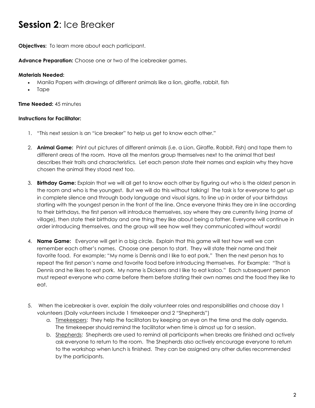### **Session 2**: Ice Breaker

**Objectives:** To learn more about each participant.

**Advance Preparation:** Choose one or two of the icebreaker games.

#### **Materials Needed:**

- Manila Papers with drawings of different animals like a lion, giraffe, rabbit, fish
- Tape

#### **Time Needed:** 45 minutes

#### **Instructions for Facilitator:**

- 1. "This next session is an "ice breaker" to help us get to know each other."
- 2. **Animal Game:** Print out pictures of different animals (i.e. a Lion, Giraffe, Rabbit, Fish) and tape them to different areas of the room. Have all the mentors group themselves next to the animal that best describes their traits and characteristics. Let each person state their names and explain why they have chosen the animal they stood next too.
- 3. **Birthday Game:** Explain that we will all get to know each other by figuring out who is the oldest person in the room and who is the youngest. But we will do this without talking! The task is for everyone to get up in complete silence and through body language and visual signs, to line up in order of your birthdays starting with the youngest person in the front of the line. Once everyone thinks they are in line according to their birthdays, the first person will introduce themselves, say where they are currently living (name of village), then state their birthday and one thing they like about being a father. Everyone will continue in order introducing themselves, and the group will see how well they communicated without words!
- 4. **Name Game:** Everyone will get in a big circle. Explain that this game will test how well we can remember each other's names. Choose one person to start. They will state their name and their favorite food. For example; "My name is Dennis and I like to eat pork." Then the next person has to repeat the first person's name and favorite food before introducing themselves. For Example: "That is Dennis and he likes to eat pork. My name is Dickens and I like to eat kaloo." Each subsequent person must repeat everyone who came before them before stating their own names and the food they like to eat.
- 5. When the icebreaker is over, explain the daily volunteer roles and responsibilities and choose day 1 volunteers (Daily volunteers include 1 timekeeper and 2 "Shepherds")
	- a. Imekeepers: They help the facilitators by keeping an eye on the time and the daily agenda. The timekeeper should remind the facilitator when time is almost up for a session.
	- b. Shepherds: Shepherds are used to remind all participants when breaks are finished and actively ask everyone to return to the room. The Shepherds also actively encourage everyone to return to the workshop when lunch is finished. They can be assigned any other duties recommended by the participants.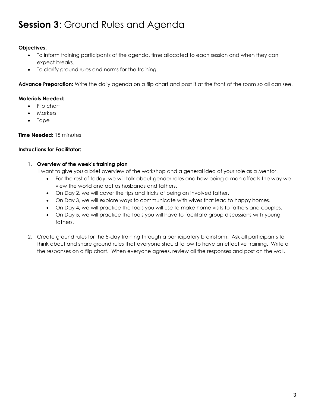### **Session 3**: Ground Rules and Agenda

#### **Objectives**:

- To inform training participants of the agenda, time allocated to each session and when they can expect breaks.
- To clarify ground rules and norms for the training.

**Advance Preparation:** Write the daily agenda on a flip chart and post it at the front of the room so all can see.

#### **Materials Needed:**

- Flip chart
- Markers
- Tape

#### **Time Needed:** 15 minutes

#### **Instructions for Facilitator:**

#### 1. **Overview of the week's training plan**

I want to give you a brief overview of the workshop and a general idea of your role as a Mentor.

- For the rest of today, we will talk about gender roles and how being a man affects the way we view the world and act as husbands and fathers.
- On Day 2, we will cover the tips and tricks of being an involved father.
- On Day 3, we will explore ways to communicate with wives that lead to happy homes.
- On Day 4, we will practice the tools you will use to make home visits to fathers and couples.
- On Day 5, we will practice the tools you will have to facilitate group discussions with young fathers.
- 2. Create ground rules for the 5-day training through a participatory brainstorm: Ask all participants to think about and share ground rules that everyone should follow to have an effective training. Write all the responses on a flip chart. When everyone agrees, review all the responses and post on the wall.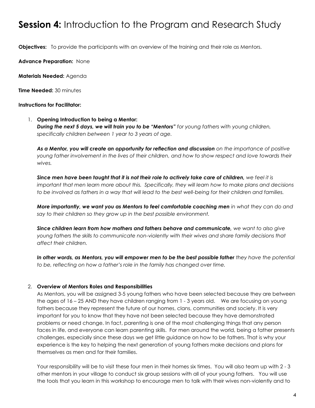### **Session 4:** Introduction to the Program and Research Study

**Objectives:** To provide the participants with an overview of the training and their role as Mentors.

**Advance Preparation:** None

**Materials Needed:** Agenda

**Time Needed:** 30 minutes

#### **Instructions for Facilitator:**

1. **Opening Introduction to being a Mentor:**  *During the next 5 days, we will train you to be "Mentors" for young fathers with young children, specifically children between 1 year to 3 years of age.* 

*As a Mentor, you will create an opportunity for reflection and discussion on the importance of positive young father involvement in the lives of their children, and how to show respect and love towards their wives.* 

*Since men have been taught that it is not their role to actively take care of children, we feel it is important that men learn more about this. Specifically, they will learn how to make plans and decisions to be involved as fathers in a way that will lead to the best well-being for their children and families.* 

*More importantly, we want you as Mentors to feel comfortable coaching men in what they can do and say to their children so they grow up in the best possible environment.* 

*Since children learn from how mothers and fathers behave and communicate, we want to also give young fathers the skills to communicate non-violently with their wives and share family decisions that affect their children.* 

In other words, as Mentors, you will empower men to be the best possible father they have the potential *to be, reflecting on how a father's role in the family has changed over time.*

#### 2. **Overview of Mentors Roles and Responsibilities**

As Mentors, you will be assigned 3-5 young fathers who have been selected because they are between the ages of 16 – 25 AND they have children ranging from 1 - 3 years old. We are focusing on young fathers because they represent the future of our homes, clans, communities and society. It is very important for you to know that they have not been selected because they have demonstrated problems or need change. In fact, parenting is one of the most challenging things that any person faces in life, and everyone can learn parenting skills. For men around the world, being a father presents challenges, especially since these days we get little guidance on how to be fathers. That is why your experience is the key to helping the next generation of young fathers make decisions and plans for themselves as men and for their families.

Your responsibility will be to visit these four men in their homes six times. You will also team up with 2 - 3 other mentors in your village to conduct six group sessions with all of your young fathers. You will use the tools that you learn in this workshop to encourage men to talk with their wives non-violently and to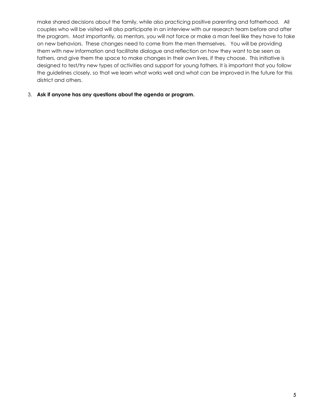make shared decisions about the family, while also practicing positive parenting and fatherhood. All couples who will be visited will also participate in an interview with our research team before and after the program. Most importantly, as mentors, you will not force or make a man feel like they have to take on new behaviors. These changes need to come from the men themselves. You will be providing them with new information and facilitate dialogue and reflection on how they want to be seen as fathers, and give them the space to make changes in their own lives, if they choose. This initiative is designed to test/try new types of activities and support for young fathers. It is important that you follow the guidelines closely, so that we learn what works well and what can be improved in the future for this district and others.

#### 3. **Ask if anyone has any questions about the agenda or program.**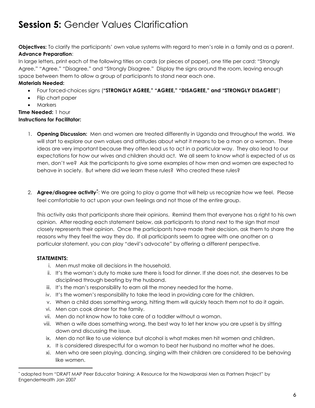### **Session 5: Gender Values Clarification**

**Objectives:** To clarify the participants' own value systems with regard to men's role in a family and as a parent. **Advance Preparation**:

In large letters, print each of the following titles on cards (or pieces of paper), one title per card: "Strongly Agree," "Agree," "Disagree," and "Strongly Disagree." Display the signs around the room, leaving enough space between them to allow a group of participants to stand near each one.

#### **Materials Needed:**

- Four forced-choices signs (**"STRONGLY AGREE," "AGREE," "DISAGREE," and "STRONGLY DISAGREE"**)
- Flip chart paper
- Markers

#### **Time Needed:** 1 hour **Instructions for Facilitator:**

- 1. **Opening Discussion:** Men and women are treated differently in Uganda and throughout the world. We will start to explore our own values and attitudes about what it means to be a man or a woman. These ideas are very important because they often lead us to act in a particular way. They also lead to our expectations for how our wives and children should act. We all seem to know what is expected of us as men, don't we? Ask the participants to give some examples of how men and women are expected to behave in society. But where did we learn these rules? Who created these rules?
- 2. **Agree/disagree activity**\* : We are going to play a game that will help us recognize how we feel. Please feel comfortable to act upon your own feelings and not those of the entire group.

This activity asks that participants share their opinions. Remind them that everyone has a right to his own opinion. After reading each statement below, ask participants to stand next to the sign that most closely represents their opinion. Once the participants have made their decision, ask them to share the reasons why they feel the way they do. If all participants seem to agree with one another on a particular statement, you can play "devil's advocate" by offering a different perspective.

#### **STATEMENTS:**

 $\overline{a}$ 

- i. Men must make all decisions in the household.
- ii. It's the woman's duty to make sure there is food for dinner. If she does not, she deserves to be disciplined through beating by the husband.
- iii. It's the man's responsibility to earn all the money needed for the home.
- iv. It's the women's responsibility to take the lead in providing care for the children.
- v. When a child does something wrong, hitting them will quickly teach them not to do it again.
- vi. Men can cook dinner for the family.
- vii. Men do not know how to take care of a toddler without a woman.
- viii. When a wife does something wrong, the best way to let her know you are upset is by sitting down and discussing the issue.
- ix. Men do not like to use violence but alcohol is what makes men hit women and children.
- x. It is considered disrespectful for a woman to beat her husband no matter what he does.
- xi. Men who are seen playing, dancing, singing with their children are considered to be behaving like women.

<sup>\*</sup> adapted from "DRAFT MAP Peer Educator Training: A Resource for the Nawalparasi Men as Partners Project" by EngenderHealth Jan 2007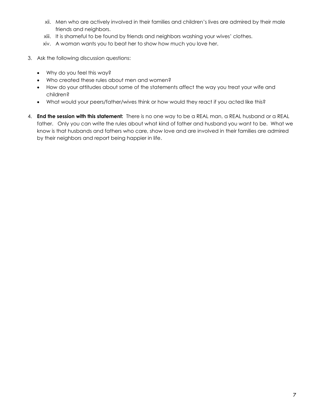- xii. Men who are actively involved in their families and children's lives are admired by their male friends and neighbors.
- xiii. It is shameful to be found by friends and neighbors washing your wives' clothes.
- xiv. A woman wants you to beat her to show how much you love her.
- 3. Ask the following discussion questions:
	- Why do you feel this way?
	- Who created these rules about men and women?
	- How do your attitudes about some of the statements affect the way you treat your wife and children?
	- What would your peers/father/wives think or how would they react if you acted like this?
- 4. **End the session with this statement:** There is no one way to be a REAL man, a REAL husband or a REAL father. Only you can write the rules about what kind of father and husband you want to be. What we know is that husbands and fathers who care, show love and are involved in their families are admired by their neighbors and report being happier in life.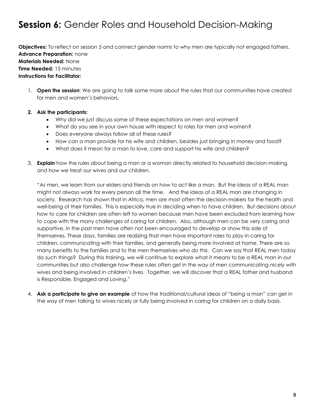### **Session 6:** Gender Roles and Household Decision-Making

**Objectives:** To reflect on session 5 and connect gender norms to why men are typically not engaged fathers. **Advance Preparation:** none **Materials Needed:** None **Time Needed:** 15 minutes **Instructions for Facilitator:**

1. **Open the session**: We are going to talk some more about the rules that our communities have created for men and women's behaviors.

#### **2. Ask the participants:**

- Why did we just discuss some of these expectations on men and women?
- What do you see in your own house with respect to roles for men and women?
- Does everyone always follow all of these rules?
- How can a man provide for his wife and children, besides just bringing in money and food?
- What does it mean for a man to love, care and support his wife and children?
- 3. **Explain** how the rules about being a man or a woman directly related to household decision-making, and how we treat our wives and our children.

"As men, we learn from our elders and friends on how to act like a man. But the ideas of a REAL man might not always work for every person all the time. And the ideas of a REAL man are changing in society. Research has shown that in Africa, men are most often the decision-makers for the health and well-being of their families. This is especially true in deciding when to have children. But decisions about how to care for children are often left to women because men have been excluded from learning how to cope with the many challenges of caring for children. Also, although men can be very caring and supportive, in the past men have often not been encouraged to develop or show this side of themselves. These days, families are realizing that men have important roles to play in caring for children, communicating with their families, and generally being more involved at home. There are so many benefits to the families and to the men themselves who do this. Can we say that REAL men today do such things? During this training, we will continue to explore what it means to be a REAL man in our communities but also challenge how these rules often get in the way of men communicating nicely with wives and being involved in children's lives. Together, we will discover that a REAL father and husband is Responsible, Engaged and Loving."

4. **Ask a participate to give an example** of how the traditional/cultural ideas of "being a man" can get in the way of men talking to wives nicely or fully being involved in caring for children on a daily basis.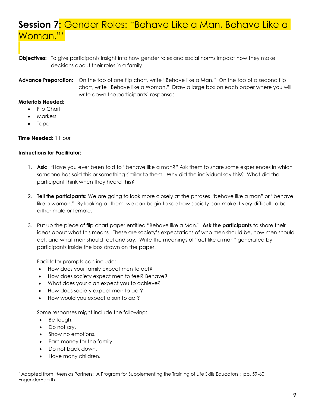### **Session 7:** Gender Roles: "Behave Like a Man, Behave Like a Woman."\*

**Objectives:** To give participants insight into how gender roles and social norms impact how they make decisions about their roles in a family.

**Advance Preparation:** On the top of one flip chart, write "Behave like a Man." On the top of a second flip chart, write "Behave like a Woman." Draw a large box on each paper where you will write down the participants' responses.

#### **Materials Needed:**

- Flip Chart
- Markers
- Tape

#### **Time Needed:** 1 Hour

#### **Instructions for Facilitator:**

- 1. **Ask: "**Have you ever been told to "behave like a man?" Ask them to share some experiences in which someone has said this or something similar to them. Why did the individual say this? What did the participant think when they heard this?
- 2. **Tell the participants:** We are going to look more closely at the phrases "behave like a man" or "behave like a woman." By looking at them, we can begin to see how society can make it very difficult to be either male or female.
- 3. Put up the piece of flip chart paper entitled "Behave like a Man." **Ask the participants** to share their ideas about what this means. These are society's expectations of who men should be, how men should act, and what men should feel and say. Write the meanings of "act like a man" generated by participants inside the box drawn on the paper.

Facilitator prompts can include:

- How does your family expect men to act?
- How does society expect men to feel? Behave?
- What does your clan expect you to achieve?
- How does society expect men to act?
- How would you expect a son to act?

Some responses might include the following:

- Be tough.
- Do not cry.

 $\overline{a}$ 

- Show no emotions.
- Earn money for the family.
- Do not back down.
- Have many children.

<sup>\*</sup> Adapted from "Men as Partners: A Program for Supplementing the Training of Life Skills Educators,: pp. 59-60, **EngenderHealth**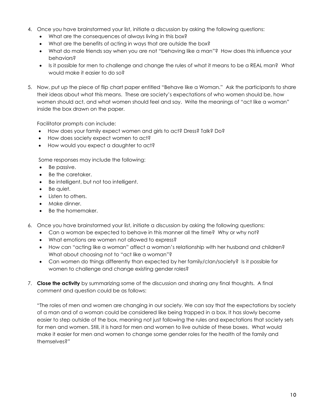- 4. Once you have brainstormed your list, initiate a discussion by asking the following questions:
	- What are the consequences of always living in this box?
	- What are the benefits of acting in ways that are outside the box?
	- What do male friends say when you are not "behaving like a man"? How does this influence your behaviors?
	- Is it possible for men to challenge and change the rules of what it means to be a REAL man? What would make it easier to do so?
- 5. Now, put up the piece of flip chart paper entitled "Behave like a Woman." Ask the participants to share their ideas about what this means. These are society's expectations of who women should be, how women should act, and what women should feel and say. Write the meanings of "act like a woman" inside the box drawn on the paper.

Facilitator prompts can include:

- How does your family expect women and girls to act? Dress? Talk? Do?
- How does society expect women to act?
- How would you expect a daughter to act?

Some responses may include the following:

- Be passive.
- Be the caretaker.
- Be intelligent, but not too intelligent.
- Be quiet.
- Listen to others.
- Make dinner.
- Be the homemaker.
- 6. Once you have brainstormed your list, initiate a discussion by asking the following questions:
	- Can a woman be expected to behave in this manner all the time? Why or why not?
	- What emotions are women not allowed to express?
	- How can "acting like a woman" affect a woman's relationship with her husband and children? What about choosing not to "act like a woman"?
	- Can women do things differently than expected by her family/clan/society? Is it possible for women to challenge and change existing gender roles?
- 7. **Close the activity** by summarizing some of the discussion and sharing any final thoughts. A final comment and question could be as follows:

"The roles of men and women are changing in our society. We can say that the expectations by society of a man and of a woman could be considered like being trapped in a box. It has slowly become easier to step outside of the box, meaning not just following the rules and expectations that society sets for men and women. Still, it is hard for men and women to live outside of these boxes. What would make it easier for men and women to change some gender roles for the health of the family and themselves?"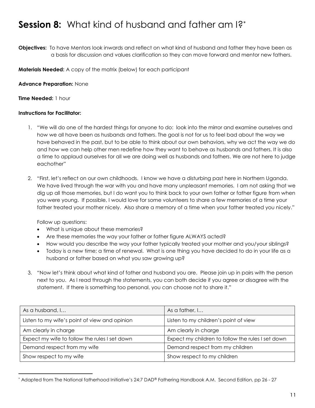### **Session 8:** What kind of husband and father am I?\*

**Objectives:** To have Mentors look inwards and reflect on what kind of husband and father they have been as a basis for discussion and values clarification so they can move forward and mentor new fathers.

**Materials Needed:** A copy of the matrix (below) for each participant

**Advance Preparation:** None

**Time Needed:** 1 hour

#### **Instructions for Facilitator:**

- 1. "We will do one of the hardest things for anyone to do: look into the mirror and examine ourselves and how we all have been as husbands and fathers. The goal is not for us to feel bad about the way we have behaved in the past, but to be able to think about our own behaviors, why we act the way we do and how we can help other men redefine how they want to behave as husbands and fathers. It is also a time to applaud ourselves for all we are doing well as husbands and fathers. We are not here to judge eachother"
- 2. "First, let's reflect on our own childhoods. I know we have a disturbing past here in Northern Uganda. We have lived through the war with you and have many unpleasant memories. I am not asking that we dig up all those memories, but I do want you to think back to your own father or father figure from when you were young. If possible, I would love for some volunteers to share a few memories of a time your father treated your mother nicely. Also share a memory of a time when your father treated you nicely."

Follow up questions:

 $\overline{a}$ 

- What is unique about these memories?
- Are these memories the way your father or father figure ALWAYS acted?
- How would you describe the way your father typically treated your mother and you/your siblings?
- Today is a new time; a time of renewal. What is one thing you have decided to do in your life as a husband or father based on what you saw growing up?
- 3. "Now let's think about what kind of father and husband you are. Please join up in pairs with the person next to you. As I read through the statements, you can both decide if you agree or disagree with the statement. If there is something too personal, you can choose not to share it."

| As a husband, I                               | As a father, I                                    |
|-----------------------------------------------|---------------------------------------------------|
| Listen to my wife's point of view and opinion | Listen to my children's point of view             |
| Am clearly in charge                          | Am clearly in charge                              |
| Expect my wife to follow the rules I set down | Expect my children to follow the rules I set down |
| Demand respect from my wife                   | Demand respect from my children                   |
| Show respect to my wife                       | Show respect to my children                       |

<sup>\*</sup> Adapted from The National fatherhood Initiative's 24:7 DAD® Fathering Handbook A.M. Second Edition, pp 26 - 27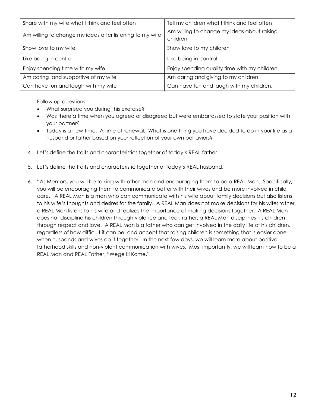| Share with my wife what I think and feel often           | Tell my children what I think and feel often            |
|----------------------------------------------------------|---------------------------------------------------------|
| Am willing to change my ideas after listening to my wife | Am willing to change my ideas about raising<br>children |
| Show love to my wife                                     | Show love to my children                                |
| Like being in control                                    | Like being in control                                   |
| Enjoy spending time with my wife                         | Enjoy spending quality time with my children            |
| Am caring and supportive of my wife                      | Am caring and giving to my children                     |
| Can have fun and laugh with my wife                      | Can have fun and laugh with my children.                |

Follow up questions:

- What surprised you during this exercise?
- Was there a time when you agreed or disagreed but were embarrassed to state your position with your partner?
- Today is a new time. A time of renewal. What is one thing you have decided to do in your life as a husband or father based on your reflection of your own behaviors?
- 4. Let's define the traits and characteristics together of today's REAL father.
- 5. Let's define the traits and characteristic together of today's REAL husband.
- 6. "As Mentors, you will be talking with other men and encouraging them to be a REAL Man. Specifically, you will be encouraging them to communicate better with their wives and be more involved in child care. A REAL Man is a man who can communicate with his wife about family decisions but also listens to his wife's thoughts and desires for the family. A REAL Man does not make decisions for his wife; rather, a REAL Man listens to his wife and realizes the importance of making decisions together. A REAL Man does not discipline his children through violence and fear; rather, a REAL Man disciplines his children through respect and love. A REAL Man is a father who can get involved in the daily life of his children, regardless of how difficult it can be, and accept that raising children is something that is easier done when husbands and wives do it together. In the next few days, we will learn more about positive fatherhood skills and non-violent communication with wives. Most importantly, we will learn how to be a REAL Man and REAL Father, "Wege ki Kome."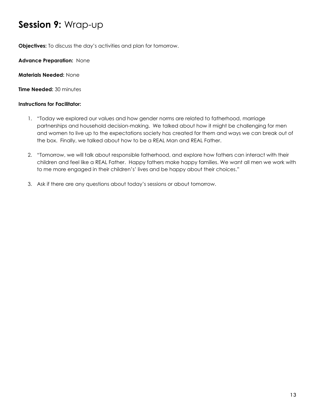### **Session 9:** Wrap-up

**Objectives:** To discuss the day's activities and plan for tomorrow.

**Advance Preparation:** None

**Materials Needed:** None

**Time Needed:** 30 minutes

#### **Instructions for Facilitator:**

- 1. "Today we explored our values and how gender norms are related to fatherhood, marriage partnerships and household decision-making. We talked about how it might be challenging for men and women to live up to the expectations society has created for them and ways we can break out of the box. Finally, we talked about how to be a REAL Man and REAL Father.
- 2. "Tomorrow, we will talk about responsible fatherhood, and explore how fathers can interact with their children and feel like a REAL Father. Happy fathers make happy families. We want all men we work with to me more engaged in their children's' lives and be happy about their choices."
- 3. Ask if there are any questions about today's sessions or about tomorrow.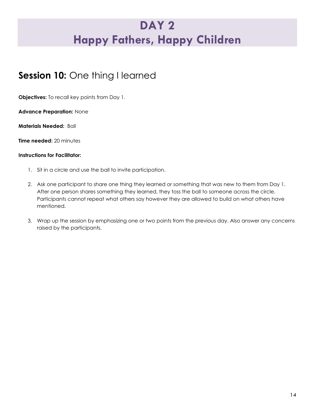### **DAY 2 Happy Fathers, Happy Children**

### **Session 10:** One thing I learned

**Objectives:** To recall key points from Day 1.

**Advance Preparation:** None

**Materials Needed:** Ball

**Time needed:** 20 minutes

#### **Instructions for Facilitator:**

- 1. Sit in a circle and use the ball to invite participation.
- 2. Ask one participant to share one thing they learned or something that was new to them from Day 1. After one person shares something they learned, they toss the ball to someone across the circle. Participants cannot repeat what others say however they are allowed to build on what others have mentioned.
- 3. Wrap up the session by emphasizing one or two points from the previous day. Also answer any concerns raised by the participants.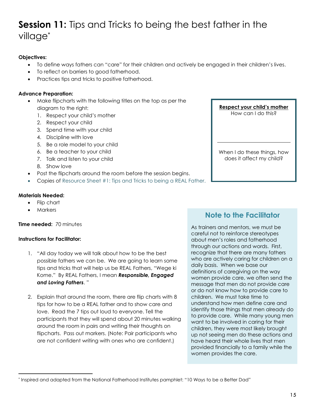### **Session 11:** Tips and Tricks to being the best father in the village\*

#### **Objectives:**

- To define ways fathers can "care" for their children and actively be engaged in their children's lives.
- To reflect on barriers to good fatherhood.
- Practices tips and tricks to positive fatherhood.

#### **Advance Preparation:**

- Make flipcharts with the following titles on the top as per the diagram to the right:
	- 1. Respect your child's mother
	- 2. Respect your child
	- 3. Spend time with your child
	- 4. Discipline with love
	- 5. Be a role model to your child
	- 6. Be a teacher to your child
	- 7. Talk and listen to your child
	- 8. Show love
- Post the flipcharts around the room before the session begins.
- Copies of Resource Sheet #1: Tips and Tricks to being a REAL Father.

#### **Materials Needed:**

- Flip chart
- **Markers**

#### **Time needed:** 70 minutes

#### **Instructions for Facilitator:**

- 1. "All day today we will talk about how to be the best possible fathers we can be. We are going to learn some tips and tricks that will help us be REAL Fathers, "Wege ki Kome." By REAL Fathers, I mean *Responsible, Engaged and Loving Fathers*. "
- 2. Explain that around the room, there are flip charts with 8 tips for how to be a REAL father and to show care and love. Read the 7 tips out loud to everyone. Tell the participants that they will spend about 20 minutes walking around the room in pairs and writing their thoughts on flipcharts. Pass out markers. (Note: Pair participants who are not confident writing with ones who are confident.)



#### **Note to the Facilitator**

As trainers and mentors, we must be careful not to reinforce stereotypes about men's roles and fatherhood through our actions and words. First, recognize that there are many fathers who are actively caring for children on a daily basis. When we base our definitions of caregiving on the way women provide care, we often send the message that men do not provide care or do not know how to provide care to children. We must take time to understand how men define care and identify those things that men already do to provide care. While many young men want to be involved in caring for their children, they were most likely brought up not seeing men do these actions and have heard their whole lives that men provided financially to a family while the women provides the care.

 $\overline{a}$ \* Inspired and adapted from the National Fatherhood Institutes pamphlet: "10 Ways to be a Better Dad"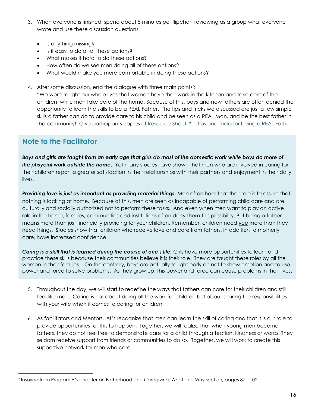- 3. When everyone is finished, spend about 5 minutes per flipchart reviewing as a group what everyone wrote and use these discussion questions:
	- Is anything missing?
	- Is it easy to do all of these actions?
	- What makes it hard to do these actions?
	- How often do we see men doing all of these actions?
	- What would make you more comfortable in doing these actions?
- 4. After some discussion, end the dialogue with three main points\* :

"We were taught our whole lives that women have their work in the kitchen and take care of the children, while men take care of the home. Because of this, boys and new fathers are often denied the opportunity to learn the skills to be a REAL Father. The tips and tricks we discussed are just a few simple skills a father can do to provide care to his child and be seen as a REAL Man, and be the best father in the community! Give participants copies of Resource Sheet #1: Tips and Tricks for being a REAL Father.

#### **Note to the Facilitator**

 $\overline{a}$ 

*Boys and girls are taught from an early age that girls do most of the domestic work while boys do more of the phsycial work outside the home***.**Yet many studies have shown that men who are involved in caring for their children report a greater satisfaction in their relationships with their partners and enjoyment in their daily lives.

**Providing love is just as important as providing material things.** Men often hear that their role is to assure that nothing is lacking at home. Because of this, men are seen as incapable of performing child care and are culturally and socially authorized not to perform these tasks. And even when men want to play an active role in the home, families, communities and institutions often deny them this possibility. But being a father means more than just financially providing for your children. Remember, children need *you* more than they need things. Studies show that children who receive love and care from fathers, in addition to motherly care, have increased confidence.

*Caring is a skill that is learned during the course of one's life.* Girls have more opportunities to learn and practice these skills because their communities believe it is their role. They are taught these roles by all the women in their families. On the contrary, boys are actually taught early on not to show emotion and to use power and force to solve problems. As they grow up, this power and force can cause problems in their lives.

- 5. Throughout the day, we will start to redefine the ways that fathers can care for their children and still feel like men. Caring is not about doing all the work for children but about sharing the responsibilities with your wife when it comes to caring for children.
- 6. As facilitators and Mentors, let's recognize that men can learn the skill of caring and that it is our role to provide opportunities for this to happen. Together, we will realize that when young men become fathers, they do not feel free to demonstrate care for a child through affection, kindness or words. They seldom receive support from friends or communities to do so. Together, we will work to create this supportive network for men who care.

<sup>\*</sup> Inspired from Program H's chapter on Fatherhood and Caregiving; What and Why section, pages 87 - 102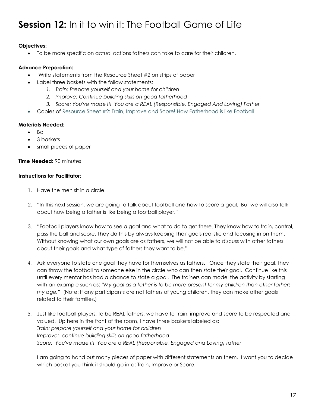### **Session 12:** In it to win it: The Football Game of Life

#### **Objectives:**

To be more specific on actual actions fathers can take to care for their children.

#### **Advance Preparation:**

- Write statements from the Resource Sheet #2 on strips of paper
	- Label three baskets with the follow statements:
		- *1. Train: Prepare yourself and your home for children*
		- *2. Improve: Continue building skills on good fatherhood*
		- *3. Score: You've made it! You are a REAL (Responsible, Engaged And Loving) Father*
- Copies of Resource Sheet #2: Train, Improve and Score! How Fatherhood is like Football

#### **Materials Needed:**

- $-B$ all
- 3 baskets
- small pieces of paper

#### **Time Needed:** 90 minutes

#### **Instructions for Facilitator:**

- 1. Have the men sit in a circle.
- 2. "In this next session, we are going to talk about football and how to score a goal. But we will also talk about how being a father is like being a football player."
- 3. "Football players know how to see a goal and what to do to get there. They know how to train, control, pass the ball and score. They do this by always keeping their goals realistic and focusing in on them. Without knowing what our own goals are as fathers, we will not be able to discuss with other fathers about their goals and what type of fathers they want to be."
- *4.* Ask everyone to state one goal they have for themselves as fathers. Once they state their goal, they can throw the football to someone else in the circle who can then state their goal. Continue like this until every mentor has had a chance to state a goal. The trainers can model the activity by starting with an example such as: *"My goal as a father is to be more present for my children than other fathers my age."* (Note: If any participants are not fathers of young children, they can make other goals related to their families.)
- 5. Just like football players, to be REAL fathers, we have to **train**, improve and score to be respected and valued. Up here in the front of the room, I have three baskets labeled as: *Train: prepare yourself and your home for children Improve: continue building skills on good fatherhood Score: You've made it! You are a REAL (Responsible, Engaged and Loving) father*

I am going to hand out many pieces of paper with different statements on them. I want you to decide which basket you think it should go into: Train, Improve or Score.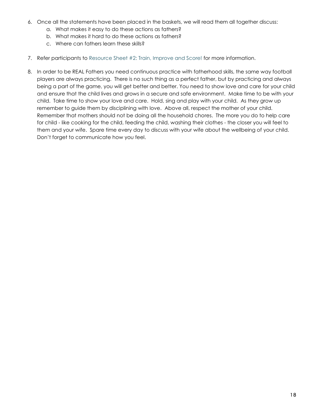- 6. Once all the statements have been placed in the baskets, we will read them all together discuss:
	- a. What makes it easy to do these actions as fathers?
	- b. What makes it hard to do these actions as fathers?
	- c. Where can fathers learn these skills?
- 7. Refer participants to Resource Sheet #2: Train, Improve and Score! for more information.
- 8. In order to be REAL Fathers you need continuous practice with fatherhood skills, the same way football players are always practicing. There is no such thing as a perfect father, but by practicing and always being a part of the game, you will get better and better. You need to show love and care for your child and ensure that the child lives and grows in a secure and safe environment. Make time to be with your child. Take time to show your love and care. Hold, sing and play with your child. As they grow up remember to guide them by disciplining with love. Above all, respect the mother of your child. Remember that mothers should not be doing all the household chores. The more you do to help care for child - like cooking for the child, feeding the child, washing their clothes - the closer you will feel to them and your wife. Spare time every day to discuss with your wife about the wellbeing of your child. Don't forget to communicate how you feel.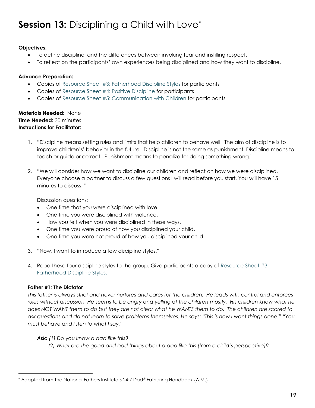### **Session 13: Disciplining a Child with Love\***

#### **Objectives:**

- To define discipline, and the differences between invoking fear and instilling respect.
- To reflect on the participants' own experiences being disciplined and how they want to discipline.

#### **Advance Preparation:**

- Copies of Resource Sheet #3: Fatherhood Discipline Styles for participants
- Copies of Resource Sheet #4: Positive Discipline for participants
- Copies of Resource Sheet #5: Communication with Children for participants

#### **Materials Needed:** None **Time Needed:** 30 minutes **Instructions for Facilitator:**

- 1. "Discipline means setting rules and limits that help children to behave well. The aim of discipline is to improve children's' behavior in the future. Discipline is not the same as punishment. Discipline means to teach or guide or correct. Punishment means to penalize for doing something wrong."
- 2. "We will consider how we want to discipline our children and reflect on how we were disciplined. Everyone choose a partner to discuss a few questions I will read before you start. You will have 15 minutes to discuss. "

Discussion questions:

- One time that you were disciplined with love.
- One time you were disciplined with violence.
- How you felt when you were disciplined in these ways.
- One time you were proud of how you disciplined your child.
- One time you were not proud of how you disciplined your child.
- 3. "Now, I want to introduce a few discipline styles."
- 4. Read these four discipline styles to the group. Give participants a copy of Resource Sheet #3: Fatherhood Discipline Styles.

#### **Father #1: The Dictator**

 $\overline{a}$ 

*This father is always strict and never nurtures and cares for the children. He leads with control and enforces rules without discussion. He seems to be angry and yelling at the children mostly. His children know what he does NOT WANT them to do but they are not clear what he WANTS them to do. The children are scared to ask questions and do not learn to solve problems themselves. He says: "This is how I want things done!" "You must behave and listen to what I say."* 

#### *Ask: (1) Do you know a dad like this?*

 *(2) What are the good and bad things about a dad like this (from a child's perspective)?* 

 $^*$  Adapted from The National Fathers Institute's 24:7 Dad® Fathering Handbook {A.M.}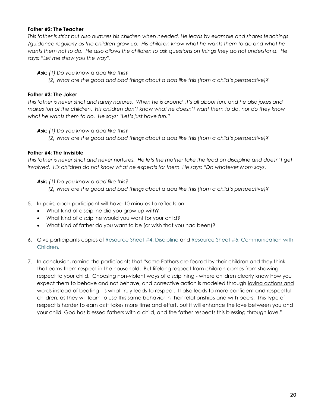#### **Father #2: The Teacher**

*This father is strict but also nurtures his children when needed. He leads by example and shares teachings /guidance regularly as the children grow up. His children know what he wants them to do and what he wants them not to do. He also allows the children to ask questions on things they do not understand. He says: "Let me show you the way".* 

*Ask: (1) Do you know a dad like this?* 

 *(2) What are the good and bad things about a dad like this (from a child's perspective)?* 

#### **Father #3: The Joker**

*This father is never strict and rarely natures. When he is around, it's all about fun, and he also jokes and makes fun of the children. His children don't know what he doesn't want them to do, nor do they know what he wants them to do. He says: "Let's just have fun."*

*Ask: (1) Do you know a dad like this?* 

 *(2) What are the good and bad things about a dad like this (from a child's perspective)?* 

#### **Father #4: The Invisible**

*This father is never strict and never nurtures. He lets the mother take the lead on discipline and doesn't get involved. His children do not know what he expects for them. He says: "Do whatever Mom says."*

*Ask: (1) Do you know a dad like this?* 

 *(2) What are the good and bad things about a dad like this (from a child's perspective)?* 

- 5. In pairs, each participant will have 10 minutes to reflects on:
	- What kind of discipline did you grow up with?
	- What kind of discipline would you want for your child?
	- What kind of father do you want to be (or wish that you had been)?
- 6. Give participants copies of Resource Sheet #4: Discipline and Resource Sheet #5: Communication with Children.
- 7. In conclusion, remind the participants that "some Fathers are feared by their children and they think that earns them respect in the household. But lifelong respect from children comes from showing respect to your child. Choosing non-violent ways of disciplining - where children clearly know how you expect them to behave and not behave, and corrective action is modeled through loving actions and words instead of beating - is what truly leads to respect. It also leads to more confident and respectful children, as they will learn to use this same behavior in their relationships and with peers. This type of respect is harder to earn as it takes more time and effort, but it will enhance the love between you and your child. God has blessed fathers with a child, and the father respects this blessing through love."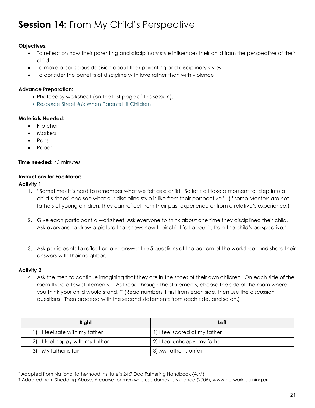### **Session 14:** From My Child's Perspective

#### **Objectives:**

- To reflect on how their parenting and disciplinary style influences their child from the perspective of their child.
- To make a conscious decision about their parenting and disciplinary styles.
- To consider the benefits of discipline with love rather than with violence.

#### **Advance Preparation:**

- Photocopy worksheet (on the last page of this session).
- Resource Sheet #6: When Parents Hit Children

#### **Materials Needed:**

- Flip chart
- **Markers**
- Pens
- Paper

#### **Time needed:** 45 minutes

#### **Instructions for Facilitator:**

**Activity 1**

- 1. "Sometimes it is hard to remember what we felt as a child. So let's all take a moment to 'step into a child's shoes' and see what our discipline style is like from their perspective." (If some Mentors are not fathers of young children, they can reflect from their past experience or from a relative's experience.)
- 2. Give each participant a worksheet. Ask everyone to think about one time they disciplined their child. Ask everyone to draw a picture that shows how their child felt about it, from the child's perspective.<sup>\*</sup>
- 3. Ask participants to reflect on and answer the 5 questions at the bottom of the worksheet and share their answers with their neighbor.

#### **Activity 2**

 $\overline{a}$ 

4. Ask the men to continue imagining that they are in the shoes of their own children. On each side of the room there a few statements. "As I read through the statements, choose the side of the room where you think your child would stand." † (Read numbers 1 first from each side, then use the discussion questions. Then proceed with the second statements from each side, and so on.)

| Right                          | Left                          |
|--------------------------------|-------------------------------|
| I feel safe with my father     | 1) I feel scared of my father |
| 2) I feel happy with my father | 2) I feel unhappy my father   |
| 3) My father is fair           | 3) My father is unfair        |

<sup>\*</sup> Adapted from National fatherhood Institute's 24:7 Dad Fathering Handbook {A.M}

<sup>&</sup>lt;sup>†</sup> Adapted from Shedding Abuse: A course for men who use domestic violence (2006)[; www.networklearning.org](http://www.networklearning.org/)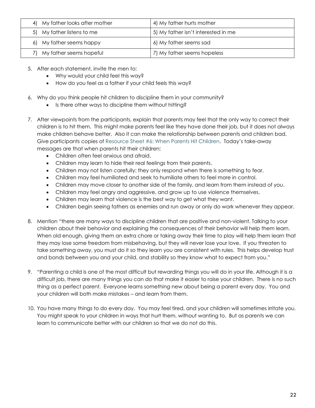| 4) My father looks after mother | 4) My father hurts mother           |
|---------------------------------|-------------------------------------|
| 5) My father listens to me      | 5) My father isn't interested in me |
| 6) My father seems happy        | 6) My father seems sad              |
| My father seems hopeful         | 7) My father seems hopeless         |

- 5. After each statement, invite the men to:
	- Why would your child feel this way?
	- How do you feel as a father if your child feels this way?
- 6. Why do you think people hit children to discipline them in your community?
	- Is there other ways to discipline them without hitting?
- 7. After viewpoints from the participants, explain that parents may feel that the only way to correct their children is to hit them. This might make parents feel like they have done their job, but it does not always make children behave better. Also it can make the relationship between parents and children bad. Give participants copies of Resource Sheet #6: When Parents Hit Children. Today's take-away messages are that when parents hit their children:
	- Children often feel anxious and afraid.
	- Children may learn to hide their real feelings from their parents.
	- Children may not listen carefully; they only respond when there is something to fear.
	- Children may feel humiliated and seek to humiliate others to feel more in control.
	- Children may move closer to another side of the family, and learn from them instead of you.
	- Children may feel angry and aggressive, and grow up to use violence themselves.
	- Children may learn that violence is the best way to get what they want.
	- Children begin seeing fathers as enemies and run away or only do work whenever they appear.
- 8. Mention "there are many ways to discipline children that are positive and non-violent. Talking to your children about their behavior and explaining the consequences of their behavior will help them learn. When old enough, giving them an extra chore or taking away their time to play will help them learn that they may lose some freedom from misbehaving, but they will never lose your love. If you threaten to take something away, you must do it so they learn you are consistent with rules. This helps develop trust and bonds between you and your child, and stability so they know what to expect from you."
- 9. "Parenting a child is one of the most difficult but rewarding things you will do in your life. Although it is a difficult job, there are many things you can do that make it easier to raise your children. There is no such thing as a perfect parent. Everyone learns something new about being a parent every day. You and your children will both make mistakes – and learn from them.
- 10. You have many things to do every day. You may feel tired, and your children will sometimes irritate you. You might speak to your children in ways that hurt them, without wanting to. But as parents we can learn to communicate better with our children so that we do not do this.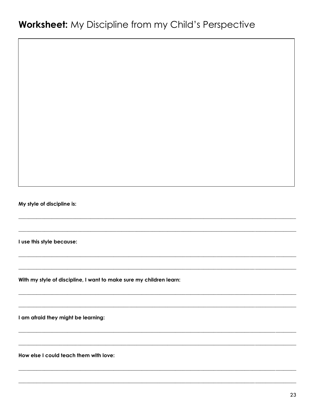My style of discipline is:

I use this style because:

With my style of discipline, I want to make sure my children learn:

I am afraid they might be learning:

How else I could teach them with love: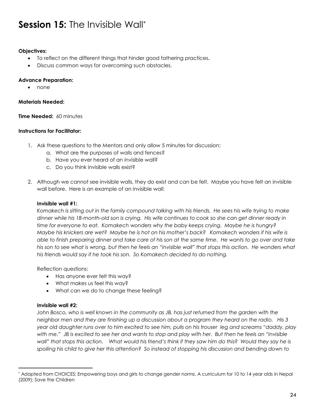### **Session 15:** The Invisible Wall\*

#### **Objectives:**

- To reflect on the different things that hinder good fathering practices**.**
- Discuss common ways for overcoming such obstacles.

#### **Advance Preparation:**

• none

#### **Materials Needed:**

#### **Time Needed:** 60 minutes

#### **Instructions for Facilitator:**

- 1. Ask these questions to the Mentors and only allow 5 minutes for discussion:
	- a. What are the purposes of walls and fences?
	- b. Have you ever heard of an invisible wall?
	- c. Do you think invisible walls exist?
- 2. Although we cannot see invisible walls, they do exist and can be felt. Maybe you have felt an invisible wall before. Here is an example of an invisible wall:

#### **Invisible wall #1:**

*Komakech is sitting out in the family compound talking with his friends. He sees his wife trying to make dinner while his 18-month-old son is crying. His wife continues to cook so she can get dinner ready in time for everyone to eat. Komakech wonders why the baby keeps crying. Maybe he is hungry? Maybe his knickers are wet? Maybe he is hot on his mother's back? Komakech wonders if his wife is able to finish preparing dinner and take care of his son at the same time. He wants to go over and take his son to see what is wrong, but then he feels an "invisible wall" that stops this action. He wonders what his friends would say if he took his son. So Komakech decided to do nothing.* 

Reflection questions:

- Has anyone ever felt this way?
- What makes us feel this way?
- What can we do to change these feeling?

#### **Invisible wall #2:**

 $\overline{a}$ 

John Bosco, who is well known in the community as JB, has just returned from the garden with the *neighbor men and they are finishing up a discussion about a program they heard on the radio. His 3 year old daughter runs over to him excited to see him, pulls on his trouser leg and screams "daddy, play with me." JB is excited to see her and wants to stop and play with her. But then he feels an "invisible wall" that stops this action. What would his friend's think if they saw him do this? Would they say he is spoiling his child to give her this attention? So instead of stopping his discussion and bending down to* 

<sup>\*</sup> Adapted from CHOICES: Empowering boys and girls to change gender norms, A curriculum for 10 to 14 year olds in Nepal (2009); Save the Children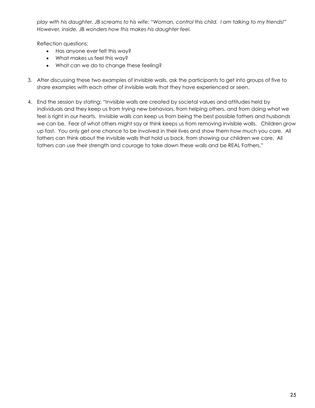*play with his daughter, JB screams to his wife: "Woman, control this child. I am talking to my friends!" However, inside, JB wonders how this makes his daughter feel.* 

Reflection questions:

- Has anyone ever felt this way?
- What makes us feel this way?
- What can we do to change these feeling?
- 3. After discussing these two examples of invisible walls, ask the participants to get into groups of five to share examples with each other of invisible walls that they have experienced or seen.
- 4. End the session by stating: "Invisible walls are created by societal values and attitudes held by individuals and they keep us from trying new behaviors, from helping others, and from doing what we feel is right in our hearts. Invisible walls can keep us from being the best possible fathers and husbands we can be. Fear of what others might say or think keeps us from removing invisible walls. Children grow up fast. You only get one chance to be involved in their lives and show them how much you care. All fathers can think about the invisible walls that hold us back, from showing our children we care. All fathers can use their strength and courage to take down these walls and be REAL Fathers."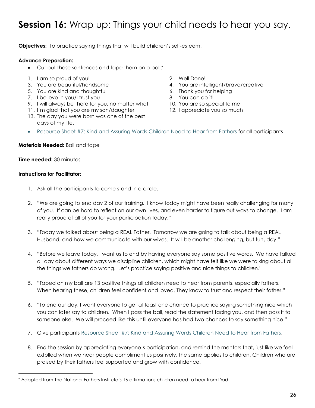### **Session 16:** Wrap up: Things your child needs to hear you say.

**Objectives:** To practice saying things that will build children's self-esteem.

#### **Advance Preparation:**

- Cut out these sentences and tape them on a ball:\*
- 1. I am so proud of you! 2. Well Done!
- 
- 5. You are kind and thoughtful 6. Thank you for helping
- 7. I believe in you/I trust you state of the set of the 8. You can do it!
- 9. I will always be there for you, no matter what 10. You are so special to me
- 11. I'm glad that you are my son/daughter 12. I appreciate you so much
- 13. The day you were born was one of the best days of my life.
- 
- 3. You are beautiful/handsome and the 4. You are intelligent/brave/creative
	-
	-
	-
	-
- Resource Sheet #7: Kind and Assuring Words Children Need to Hear from Fathers for all participants

#### **Materials Needed:** Ball and tape

#### **Time needed:** 30 minutes

#### **Instructions for Facilitator:**

 $\overline{a}$ 

- 1. Ask all the participants to come stand in a circle.
- 2. "We are going to end day 2 of our training. I know today might have been really challenging for many of you. If can be hard to reflect on our own lives, and even harder to figure out ways to change. I am really proud of all of you for your participation today."
- 3. "Today we talked about being a REAL Father. Tomorrow we are going to talk about being a REAL Husband, and how we communicate with our wives. It will be another challenging, but fun, day."
- 4. "Before we leave today, I want us to end by having everyone say some positive words. We have talked all day about different ways we discipline children, which might have felt like we were talking about all the things we fathers do wrong. Let's practice saying positive and nice things to children."
- 5. "Taped on my ball are 13 positive things all children need to hear from parents, especially fathers. When hearing these, children feel confident and loved. They know to trust and respect their father."
- 6. "To end our day, I want everyone to get at least one chance to practice saying something nice which you can later say to children. When I pass the ball, read the statement facing you, and then pass it to someone else. We will proceed like this until everyone has had two chances to say something nice."
- 7. Give participants Resource Sheet #7: Kind and Assuring Words Children Need to Hear from Fathers.
- 8. End the session by appreciating everyone's participation, and remind the mentors that, just like we feel extolled when we hear people compliment us positively, the same applies to children. Children who are praised by their fathers feel supported and grow with confidence.

<sup>\*</sup> Adapted from The National Fathers Institute's 16 affirmations children need to hear from Dad.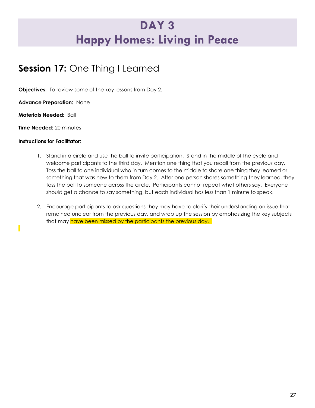### **DAY 3 Happy Homes: Living in Peace**

### **Session 17:** One Thing I Learned

**Objectives:** To review some of the key lessons from Day 2.

**Advance Preparation:** None

**Materials Needed:** Ball

**Time Needed:** 20 minutes

#### **Instructions for Facilitator:**

- 1. Stand in a circle and use the ball to invite participation. Stand in the middle of the cycle and welcome participants to the third day. Mention one thing that you recall from the previous day. Toss the ball to one individual who in turn comes to the middle to share one thing they learned or something that was new to them from Day 2. After one person shares something they learned, they toss the ball to someone across the circle. Participants cannot repeat what others say. Everyone should get a chance to say something, but each individual has less than 1 minute to speak.
- 2. Encourage participants to ask questions they may have to clarify their understanding on issue that remained unclear from the previous day, and wrap up the session by emphasizing the key subjects that may have been missed by the participants the previous day.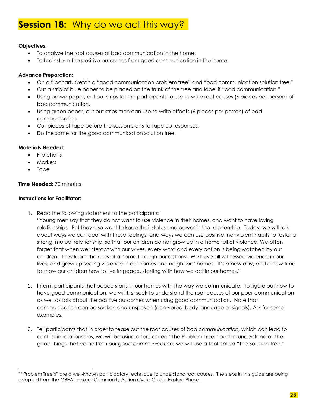### **Session 18:** Why do we act this way?

#### **Objectives:**

- To analyze the root causes of bad communication in the home.
- To brainstorm the positive outcomes from good communication in the home.

#### **Advance Preparation:**

- On a flipchart, sketch a "good communication problem tree" and "bad communication solution tree."
- Cut a strip of blue paper to be placed on the trunk of the tree and label it "bad communication."
- Using brown paper, cut out strips for the participants to use to write root causes (6 pieces per person) of bad communication.
- Using green paper, cut out strips men can use to write effects (6 pieces per person) of bad communication.
- Cut pieces of tape before the session starts to tape up responses.
- Do the same for the good communication solution tree.

#### **Materials Needed:**

- Flip charts
- Markers
- Tape

 $\overline{a}$ 

#### **Time Needed:** 70 minutes

#### **Instructions for Facilitator:**

- 1. Read the following statement to the participants:
	- "Young men say that they do not want to use violence in their homes, and want to have loving relationships. But they also want to keep their status and power in the relationship. Today, we will talk about ways we can deal with these feelings, and ways we can use positive, nonviolent habits to foster a strong, mutual relationship, so that our children do not grow up in a home full of violence. We often forget that when we interact with our wives, every word and every action is being watched by our children. They learn the rules of a home through our actions. We have all witnessed violence in our lives, and grew up seeing violence in our homes and neighbors' homes. It's a new day, and a new time to show our children how to live in peace, starting with how we act in our homes."
- 2. Inform participants that peace starts in our homes with the way we communicate. To figure out how to have good communication, we will first seek to understand the root causes of our poor communication as well as talk about the positive outcomes when using good communication. Note that communication can be spoken and unspoken (non-verbal body language or signals). Ask for some examples.
- 3. Tell participants that in order to tease out the root causes of *bad communication,* which can lead to conflict in relationships, we will be using a tool called "The Problem Tree" \* and to understand all the good things that come from our *good communication*, we will use a tool called "The Solution Tree."

<sup>\*</sup> "Problem Tree's" are a well-known participatory technique to understand root causes. The steps in this guide are being adapted from the GREAT project Community Action Cycle Guide: Explore Phase.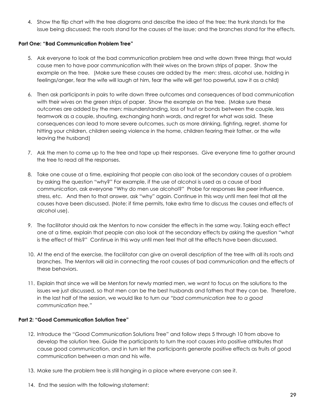4. Show the flip chart with the tree diagrams and describe the idea of the tree; the trunk stands for the issue being discussed; the roots stand for the causes of the issue; and the branches stand for the effects.

#### **Part One: "Bad Communication Problem Tree"**

- 5. Ask everyone to look at the bad communication problem tree and write down three things that would cause men to have poor communication with their wives on the brown strips of paper. Show the example on the tree. (Make sure these causes are added by the men: stress, alcohol use, holding in feelings/anger, fear the wife will laugh at him, fear the wife will get too powerful, saw it as a child)
- 6. Then ask participants in pairs to write down three outcomes and consequences of bad communication with their wives on the green strips of paper. Show the example on the tree. (Make sure these outcomes are added by the men: misunderstanding, loss of trust or bonds between the couple, less teamwork as a couple, shouting, exchanging harsh words, and regret for what was said. These consequences can lead to more severe outcomes, such as more drinking, fighting, regret, shame for hitting your children, children seeing violence in the home, children fearing their father, or the wife leaving the husband)
- 7. Ask the men to come up to the tree and tape up their responses. Give everyone time to gather around the tree to read all the responses.
- 8. Take one cause at a time, explaining that people can also look at the secondary causes of a problem by asking the question "why?" For example, if the use of alcohol is used as a cause of bad communication, ask everyone "Why do men use alcohol?" Probe for responses like peer influence, stress, etc. And then to that answer, ask "why" again. Continue in this way until men feel that all the causes have been discussed. (Note: if time permits, take extra time to discuss the causes and effects of alcohol use).
- 9. The facilitator should ask the Mentors to now consider the effects in the same way. Taking each effect one at a time, explain that people can also look at the secondary effects by asking the question "what is the effect of this?" Continue in this way until men feel that all the effects have been discussed.
- 10. At the end of the exercise, the facilitator can give an overall description of the tree with all its roots and branches. The Mentors will aid in connecting the root causes of bad communication and the effects of these behaviors.
- 11. Explain that since we will be Mentors for newly married men, we want to focus on the solutions to the issues we just discussed, so that men can be the best husbands and fathers that they can be. Therefore, in the last half of the session, we would like to turn our *"bad communication tree to a good communication tree."*

#### **Part 2: "Good Communication Solution Tree"**

- 12. Introduce the "Good Communication Solutions Tree" and follow steps 5 through 10 from above to develop the solution tree. Guide the participants to turn the root causes into positive attributes that cause good communication, and in turn let the participants generate positive effects as fruits of good communication between a man and his wife.
- 13. Make sure the problem tree is still hanging in a place where everyone can see it.
- 14. End the session with the following statement: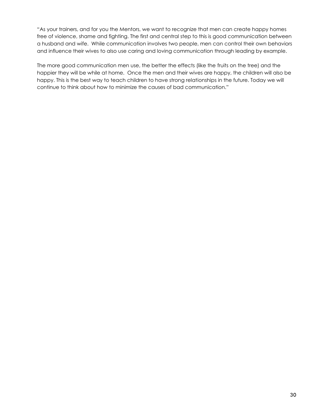"As your trainers, and for you the Mentors, we want to recognize that men can create happy homes free of violence, shame and fighting. The first and central step to this is good communication between a husband and wife. While communication involves two people, men can control their own behaviors and influence their wives to also use caring and loving communication through leading by example.

The more good communication men use, the better the effects (like the fruits on the tree) and the happier they will be while at home. Once the men and their wives are happy, the children will also be happy. This is the best way to teach children to have strong relationships in the future. Today we will continue to think about how to minimize the causes of bad communication."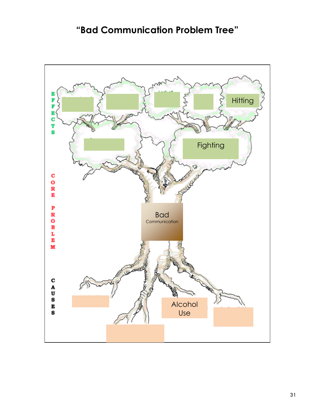### **"Bad Communication Problem Tree"**

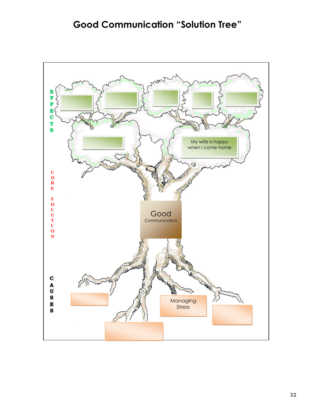### **Good Communication "Solution Tree"**

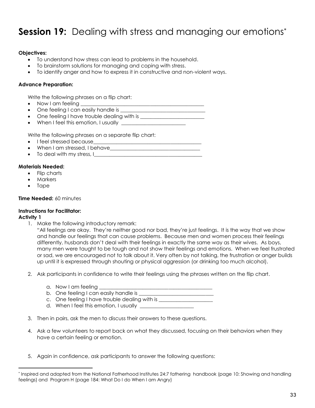### **Session 19:** Dealing with stress and managing our emotions<sup>\*</sup>

#### **Objectives:**

- To understand how stress can lead to problems in the household.
- To brainstorm solutions for managing and coping with stress.
- To identify anger and how to express it in constructive and non-violent ways.

#### **Advance Preparation:**

Write the following phrases on a flip chart:

- Now I am feeling \_\_
- $\bullet$  One feeling I can easily handle is
- One feeling I have trouble dealing with is \_\_\_\_\_\_\_\_\_\_\_\_\_\_\_\_\_\_\_\_\_\_\_\_\_
- When I feel this emotion, I usually *\_\_\_\_\_\_\_\_\_\_\_\_\_\_\_\_\_\_\_\_\_\_\_\_\_*

Write the following phrases on a separate flip chart:

- I feel stressed because
- When I am stressed, I behave
- To deal with my stress, I\_\_\_\_\_\_\_\_\_\_\_\_\_\_\_\_\_\_\_\_\_\_\_\_\_\_\_\_\_\_\_\_\_\_\_\_\_\_\_\_\_\_

#### **Materials Needed:**

- Flip charts
- Markers
- Tape

#### **Time Needed:** 60 minutes

#### **Instructions for Facilitator:**

#### **Activity 1**

 $\overline{a}$ 

1. Make the following introductory remark:

"All feelings are okay. They're neither good nor bad, they're just feelings. It is the way that we show and handle our feelings that can cause problems. Because men and women process their feelings differently, husbands don't deal with their feelings in exactly the same way as their wives. As boys, many men were taught to be tough and not show their feelings and emotions. When we feel frustrated or sad, we are encouraged not to talk about it. Very often by not talking, the frustration or anger builds up until it is expressed through shouting or physical aggression (or drinking too much alcohol).

- 2. Ask participants in confidence to write their feelings using the phrases written on the flip chart.
	- a. Now I am feeling
	- b. One feeling I can easily handle is
	- c. One feeling I have trouble dealing with is \_\_\_\_\_\_\_\_\_\_\_\_\_\_\_\_\_\_\_\_\_\_\_\_\_\_\_\_\_\_\_\_\_\_
	- d. When I feel this emotion, I usually \_\_\_\_\_\_\_\_\_\_\_\_\_\_\_\_\_\_\_\_\_
- 3. Then in pairs, ask the men to discuss their answers to these questions.
- 4. Ask a few volunteers to report back on what they discussed, focusing on their behaviors when they have a certain feeling or emotion.
- 5. Again in confidence, ask participants to answer the following questions:

<sup>\*</sup> Inspired and adapted from the National Fatherhood Institutes 24:7 fathering handbook (page 10: Showing and handling feelings) and Program H (page 184: What Do I do When I am Angry)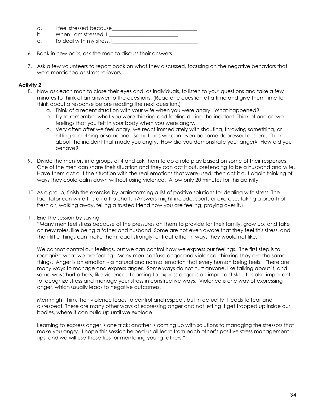| a | I feel stressed because |
|---|-------------------------|
|   |                         |

- b. When I am stressed, I
- c. To deal with my stress, I\_
- 6. Back in new pairs, ask the men to discuss their answers.
- 7. Ask a few volunteers to report back on what they discussed, focusing on the negative behaviors that were mentioned as stress relievers.

#### **Activity 2**

- 8. Now ask each man to close their eyes and, as individuals, to listen to your questions and take a few minutes to think of an answer to the questions. (Read one question at a time and give them time to think about a response before reading the next question.)
	- a. Think of a recent situation with your wife when you were angry. What happened?
	- b. Try to remember what you were thinking and feeling during the incident. Think of one or two feelings that you felt in your body when you were angry.
	- c. Very often after we feel angry, we react immediately with shouting, throwing something, or hitting something or someone. Sometimes we can even become depressed or silent. Think about the incident that made you angry. How did you demonstrate your anger? How did you behave?
- 9. Divide the mentors into groups of 4 and ask them to do a role play based on some of their responses. One of the men can share their situation and they can act it out, pretending to be a husband and wife. Have them act out the situation with the real emotions that were used; then act it out again thinking of ways they could calm down without using violence. Allow only 20 minutes for this activity.
- 10. As a group, finish the exercise by brainstorming a list of positive solutions for dealing with stress. The facilitator can write this on a flip chart. (Answers might include: sports or exercise, taking a breath of fresh air, walking away, telling a trusted friend how you are feeling, praying over it.)
- 11. End the session by saying:

"Many men feel stress because of the pressures on them to provide for their family, grow up, and take on new roles, like being a father and husband. Some are not even aware that they feel this stress, and then little things can make them react strongly, or treat other in ways they would not like.

We cannot control our feelings, but we can control how we express our feelings. The first step is to recognize what we are feeling. Many men confuse anger and violence, thinking they are the same things. Anger is an emotion - a natural and normal emotion that every human being feels. There are many ways to manage and express anger. Some ways do not hurt anyone, like talking about it, and some ways hurt others, like violence. Learning to express anger is an important skill. It is also important to recognize stress and manage your stress in constructive ways. Violence is one way of expressing anger, which usually leads to negative outcomes.

Men might think their violence leads to control and respect, but in actuality it leads to fear and disrespect. There are many other ways of expressing anger and not letting it get trapped up inside our bodies, where it can build up until we explode.

Learning to express anger is one trick; another is coming up with solutions to managing the stressors that make you angry. I hope this session helped us all learn from each other's positive stress management tips, and we will use those tips for mentoring young fathers."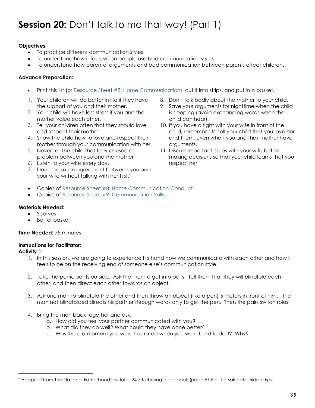### **Session 20:** Don't talk to me that way! (Part 1)

#### **Objectives:**

- To practice different communication styles.
- To understand how it feels when people use bad communication styles.
- To understand how parental arguments and bad communication between parents effect children.

#### **Advance Preparation:**

- Print this list (or Resource Sheet #8: Home Communication), cut it into strips, and put in a basket.
- 1. Your children will do better in life if they have the support of you and their mother.
- 2. Your child will have less stress if you and the mother value each other.
- 3. Tell your children often that they should love and respect their mother.
- 4. Show the child how to love and respect their mother through your communication with her.
- 5. Never tell the child that they caused a problem between you and the mother
- 6. Listen to your wife every day.
- 7. Don't break an agreement between you and your wife without talking with her first.\*
- 8. Don't talk badly about the mother to your child.
- 9. Save your arguments for nighttime when the child is sleeping (avoid exchanging words when the child can hear).
- 10. If you have a fight with your wife in front of the child, remember to tell your child that you love her and them, even when you and their mother have arguments.
- 11. Discuss important issues with your wife before making decisions so that your child learns that you respect her.
- Copies of Resource Sheet #8: Home Communication Conduct
- Copies of Resource Sheet #9: Communication Skills

#### **Materials Needed:**

- Scarves
- Ball or basket

#### **Time Needed:** 75 minutes

#### **Instructions for Facilitator:**

**Activity 1** 

 $\overline{a}$ 

- 1. In this session, we are going to experience firsthand how we communicate with each other and how it feels to be on the receiving end of someone else's communication style.
- 2. Take the participants outside. Ask the men to get into pairs. Tell them that they will blindfold each other, and then direct each other towards an object.
- 3. Ask one man to blindfold the other and then throw an object (like a pen) 5 meters in front of him. The man not blindfolded directs his partner through words only to get the pen. Then the pairs switch roles.
- 4. Bring the men back together and ask:
	- a. How did you feel your partner communicated with you?
	- b. What did they do well? What could they have done better?
	- c. Was there a moment you were frustrated when you were blind folded? Why?

<sup>\*</sup> Adapted from The National Fatherhood Institutes 24:7 fathering handbook (page 61:For the sake of children tips)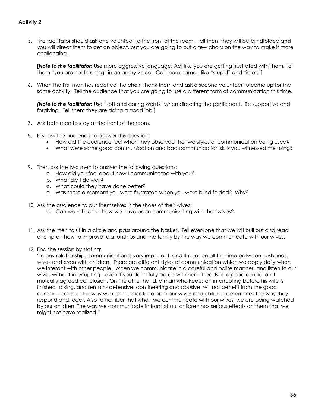#### **Activity 2**

5. The facilitator should ask one volunteer to the front of the room. Tell them they will be blindfolded and you will direct them to get an object, but you are going to put a few chairs on the way to make it more challenging.

**[***Note to the facilitator***:** Use more aggressive language. Act like you are getting frustrated with them. Tell them "you are not listening" in an angry voice. Call them names, like "stupid" and "idiot."]

6. When the first man has reached the chair, thank them and ask a second volunteer to come up for the same activity. Tell the audience that you are going to use a different form of communication this time.

*[Note to the facilitator:* Use "soft and caring words" when directing the participant. Be supportive and forgiving. Tell them they are doing a good job.]

- 7. Ask both men to stay at the front of the room.
- 8. First ask the audience to answer this question:
	- How did the audience feel when they observed the two styles of communication being used?
	- What were some good communication and bad communication skills you witnessed me using?"
- 9. Then ask the two men to answer the following questions:
	- a. How did you feel about how I communicated with you?
	- b. What did I do well?
	- c. What could they have done better?
	- d. Was there a moment you were frustrated when you were blind folded? Why?
- 10. Ask the audience to put themselves in the shoes of their wives:
	- a. Can we reflect on how we have been communicating with their wives?
- 11. Ask the men to sit in a circle and pass around the basket. Tell everyone that we will pull out and read one tip on how to improve relationships and the family by the way we communicate with our wives.
- 12. End the session by stating:

"In any relationship, communication is very important, and it goes on all the time between husbands, wives and even with children. There are different styles of communication which we apply daily when we interact with other people. When we communicate in a careful and polite manner, and listen to our wives without interrupting - even if you don't fully agree with her - it leads to a good cordial and mutually agreed conclusion. On the other hand, a man who keeps on interrupting before his wife is finished talking, and remains defensive, domineering and abusive, will not benefit from the good communication. The way we communicate to both our wives and children determines the way they respond and react. Also remember that when we communicate with our wives, we are being watched by our children. The way we communicate in front of our children has serious effects on them that we might not have realized."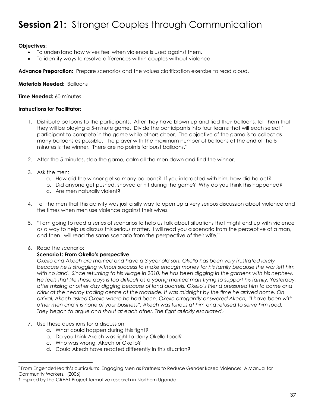### **Session 21: Stronger Couples through Communication**

#### **Objectives:**

- To understand how wives feel when violence is used against them.
- To identify ways to resolve differences within couples without violence.

Advance Preparation: Prepare scenarios and the values clarification exercise to read aloud.

**Materials Needed:** Balloons

**Time Needed:** 60 minutes

#### **Instructions for Facilitator:**

- 1. Distribute balloons to the participants. After they have blown up and tied their balloons, tell them that they will be playing a 5-minute game. Divide the participants into four teams that will each select 1 participant to compete in the game while others cheer. The objective of the game is to collect as many balloons as possible. The player with the maximum number of balloons at the end of the 5 minutes is the winner. There are no points for burst balloons. \*
- 2. After the 5 minutes, stop the game, calm all the men down and find the winner.
- 3. Ask the men:
	- a. How did the winner get so many balloons? If you interacted with him, how did he act?
	- b. Did anyone get pushed, shoved or hit during the game? Why do you think this happened?
	- c. Are men naturally violent?
- 4. Tell the men that this activity was just a silly way to open up a very serious discussion about violence and the times when men use violence against their wives.
- 5. "I am going to read a series of scenarios to help us talk about situations that might end up with violence as a way to help us discuss this serious matter. I will read you a scenario from the perceptive of a man, and then I will read the same scenario from the perspective of their wife."

#### 6. Read the scenario:

 $\overline{a}$ 

#### **Scenario1: From Okello's perspective**

*Okello and Akech are married and have a 3 year old son. Okello has been very frustrated lately because he is struggling without success to make enough money for his family because the war left him with no land. Since returning to his village in 2010, he has been digging in the gardens with his nephew. He feels that life these days is too difficult as a young married man trying to support his family. Yesterday, after missing another day digging because of land quarrels, Okello's friend pressured him to come and drink at the nearby trading centre at the roadside. It was midnight by the time he arrived home. On arrival, Akech asked Okello where he had been. Okello arrogantly answered Akech, "I have been with other men and it is none of your business". Akech was furious at him and refused to serve him food. They began to argue and shout at each other. The fight quickly escalated. †*

- 7. Use these questions for a discussion;
	- a. What could happen during this fight?
	- b. Do you think Akech was right to deny Okello food?
	- c. Who was wrong, Akech or Okello?
	- d. Could Akech have reacted differently in this situation?

<sup>\*</sup> From EngenderHealth's curriculum: Engaging Men as Partners to Reduce Gender Based Violence: A Manual for Community Workers. (2006)

<sup>†</sup> Inspired by the GREAT Project formative research in Northern Uganda.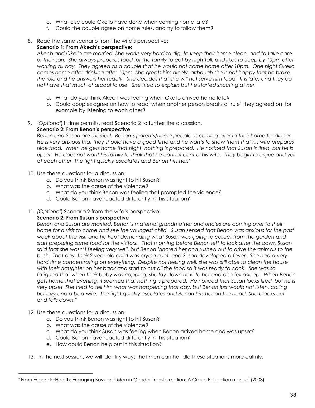- e. What else could Okello have done when coming home late?
- f. Could the couple agree on home rules, and try to follow them?
- 8. Read the same scenario from the wife's perspective:

#### **Scenario 1: From Akech's perspective:**

*Akech and Okello are married. She works very hard to dig, to keep their home clean, and to take care of their son. She always prepares food for the family to eat by nightfall, and likes to sleep by 10pm after working all day. They agreed as a couple that he would not come home after 10pm. One night Okello comes home after drinking after 10pm. She greets him nicely, although she is not happy that he broke the rule and he answers her rudely. She decides that she will not serve him food. It is late, and they do not have that much charcoal to use. She tried to explain but he started shouting at her.*

- a. What do you think Akech was feeling when Okello arrived home late?
- b. Could couples agree on how to react when another person breaks a 'rule' they agreed on, for example by listening to each other?
- 9. (*Optional*) If time permits, read Scenario 2 to further the discussion.

#### **Scenario 2: From Benon's perspective**

*Benon and Susan are married. Benon's parents/home people is coming over to their home for dinner. He is very anxious that they should have a good time and he wants to show them that his wife prepares nice food. When he gets home that night, nothing is prepared. He noticed that Susan is tired, but he is*  upset. He does not want his family to think that he cannot control his wife. They begin to argue and yell *at each other. The fight quickly escalates and Benon hits her.\**

- 10. Use these questions for a discussion;
	- a. Do you think Benon was right to hit Susan?
	- b. What was the cause of the violence?
	- c. What do you think Benon was feeling that prompted the violence?
	- d. Could Benon have reacted differently in this situation?
- 11. *(Optional*) Scenario 2 from the wife's perspective:

#### **Scenario 2: From Susan's perspective**

*Benon and Susan are married. Benon's maternal grandmother and uncles are coming over to their home for a visit to come and see the youngest child. Susan sensed that Benon was anxious for the past week about the visit and he kept demanding what Susan was going to collect from the garden and start preparing some food for the visitors. That morning before Benon left to look after the cows, Susan said that she wasn't feeling very well, but Benon ignored her and rushed out to drive the animals to the bush. That day, their 2 year old child was crying a lot and Susan developed a fever. She had a very hard time concentrating on everything. Despite not feeling well, she was still able to clean the house with their daughter on her back and start to cut all the food so it was ready to cook. She was so fatigued that when their baby was napping, she lay down next to her and also fell asleep. When Benon gets home that evening, it seemed that nothing is prepared. He noticed that Susan looks tired, but he is very upset. She tried to tell him what was happening that day, but Benon just would not listen, calling her lazy and a bad wife. The fight quickly escalates and Benon hits her on the head. She blacks out and falls down."* 

12. Use these questions for a discussion;

 $\overline{a}$ 

- a. Do you think Benon was right to hit Susan?
- b. What was the cause of the violence?
- c. What do you think Susan was feeling when Benon arrived home and was upset?
- d. Could Benon have reacted differently in this situation?
- e. How could Benon help out in this situation?
- 13. In the next session, we will identify ways that men can handle these situations more calmly.

<sup>\*</sup> From EngenderHealth: Engaging Boys and Men in Gender Transformation: A Group Education manual (2008)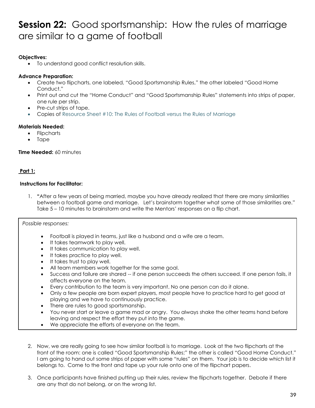### **Session 22:** Good sportsmanship: How the rules of marriage are similar to a game of football

#### **Objectives:**

To understand good conflict resolution skills.

#### **Advance Preparation:**

- Create two flipcharts, one labeled, "Good Sportsmanship Rules," the other labeled "Good Home Conduct."
- Print out and cut the "Home Conduct" and "Good Sportsmanship Rules" statements into strips of paper, one rule per strip.
- Pre-cut strips of tape.
- Copies of Resource Sheet #10: The Rules of Football versus the Rules of Marriage

#### **Materials Needed:**

- **Flipcharts**
- Tape

**Time Needed:** 60 minutes

#### **Part 1:**

#### **Instructions for Facilitator:**

1. **"**After a few years of being married, maybe you have already realized that there are many similarities between a football game and marriage.Let's brainstorm together what some of those similarities are." Take 5 – 10 minutes to brainstorm and write the Mentors' responses on a flip chart.

*Possible responses:*

- Football is played in teams, just like a husband and a wife are a team.
- It takes teamwork to play well.
- It takes communication to play well.
- It takes practice to play well.
- It takes trust to play well.
- All team members work together for the same goal.
- Success and failure are shared -- if one person succeeds the others succeed. If one person fails, it affects everyone on the team.
- Every contribution to the team is very important. No one person can do it alone.
- Only a few people are born expert players, most people have to practice hard to get good at playing and we have to continuously practice.
- There are rules to good sportsmanship.
- You never start or leave a game mad or angry. You always shake the other teams hand before leaving and respect the effort they put into the game.
- We appreciate the efforts of everyone on the team.
- 2. Now, we are really going to see how similar football is to marriage. Look at the two flipcharts at the front of the room: one is called "Good Sportsmanship Rules;" the other is called "Good Home Conduct." I am going to hand out some strips of paper with some "rules" on them. Your job is to decide which list it belongs to. Come to the front and tape up your rule onto one of the flipchart papers.
- 3. Once participants have finished putting up their rules, review the flipcharts together. Debate if there are any that do not belong, or on the wrong list.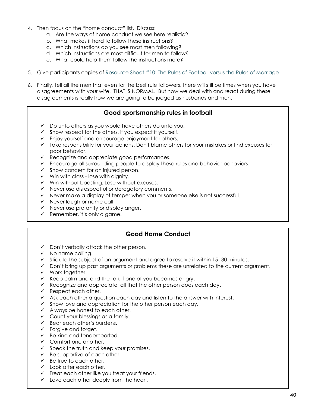- 4. Then focus on the "home conduct" list. Discuss:
	- a. Are the ways of home conduct we see here realistic?
	- b. What makes it hard to follow these instructions?
	- c. Which instructions do you see most men following?
	- d. Which instructions are most difficult for men to follow?
	- e. What could help them follow the instructions more?
- 5. Give participants copies of Resource Sheet #10: The Rules of Football versus the Rules of Marriage.
- 6. Finally, tell all the men that even for the best rule followers, there will still be times when you have disagreements with your wife. THAT IS NORMAL. But how we deal with and react during these disagreements is really how we are going to be judged as husbands and men.

#### **Good sportsmanship rules in football**

- $\checkmark$  Do unto others as you would have others do unto you.
- $\checkmark$  Show respect for the others, if you expect it yourself.
- Enjoy yourself and encourage enjoyment for others.
- $\checkmark$  Take responsibility for your actions. Don't blame others for your mistakes or find excuses for poor behavior.
- $\checkmark$  Recognize and appreciate good performances.
- $\checkmark$  Encourage all surrounding people to display these rules and behavior behaviors.
- $\checkmark$  Show concern for an injured person.
- $\checkmark$  Win with class lose with dignity.
- $\checkmark$  Win without boasting. Lose without excuses.
- $\checkmark$  Never use disrespectful or derogatory comments.
- $\checkmark$  Never make a display of temper when you or someone else is not successful.
- $\checkmark$  Never laugh or name call.
- $\checkmark$  Never use profanity or display anger.
- $\checkmark$  Remember, it's only a game.

#### **Good Home Conduct**

- $\checkmark$  Don't verbally attack the other person.
- $\checkmark$  No name calling.
- $\checkmark$  Stick to the subject of an argument and agree to resolve it within 15 -30 minutes.
- $\checkmark$  Don't bring up past arguments or problems these are unrelated to the current argument.
- $\checkmark$  Work together.
- $\checkmark$  Keep calm and end the talk if one of you becomes angry.
- $\checkmark$  Recognize and appreciate all that the other person does each day.
- $\checkmark$  Respect each other.
- $\checkmark$  Ask each other a question each day and listen to the answer with interest.
- $\checkmark$  Show love and appreciation for the other person each day.
- $\checkmark$  Always be honest to each other.
- $\checkmark$  Count your blessings as a family.
- $\checkmark$  Bear each other's burdens.
- $\checkmark$  Forgive and forget.
- $\checkmark$  Be kind and tenderhearted.
- $\checkmark$  Comfort one another.
- $\checkmark$  Speak the truth and keep your promises.
- $\checkmark$  Be supportive of each other.
- $\checkmark$  Be true to each other.
- $\checkmark$  Look after each other.
- $\checkmark$  Treat each other like you treat your friends.
- $\checkmark$  Love each other deeply from the heart.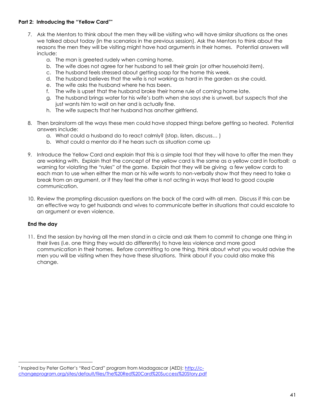#### **Part 2: Introducing the "Yellow Card"\***

- 7. Ask the Mentors to think about the men they will be visiting who will have similar situations as the ones we talked about today (in the scenarios in the previous session). Ask the Mentors to think about the reasons the men they will be visiting might have had arguments in their homes. Potential answers will include:
	- a. The man is greeted rudely when coming home.
	- b. The wife does not agree for her husband to sell their grain (or other household item).
	- c. The husband feels stressed about getting soap for the home this week.
	- d. The husband believes that the wife is not working as hard in the garden as she could.
	- e. The wife asks the husband where he has been.
	- f. The wife is upset that the husband broke their home rule of coming home late.
	- g. The husband brings water for his wife's bath when she says she is unwell, but suspects that she just wants him to wait on her and is actually fine.
	- h. The wife suspects that her husband has another girlfriend.
- 8. Then brainstorm all the ways these men could have stopped things before getting so heated. Potential answers include:
	- a. What could a husband do to react calmly? (stop, listen, discuss… )
	- b. What could a mentor do if he hears such as situation come up
- 9. Introduce the Yellow Card and explain that this is a simple tool that they will have to offer the men they are working with. Explain that the concept of the yellow card is the same as a yellow card in football: a warning for violating the "rules" of the game. Explain that they will be giving a few yellow cards to each man to use when either the man or his wife wants to non-verbally show that they need to take a break from an argument, or if they feel the other is not acting in ways that lead to good couple communication.
- 10. Review the prompting discussion questions on the back of the card with all men. Discuss if this can be an effective way to get husbands and wives to communicate better in situations that could escalate to an argument or even violence.

#### **End the day**

 $\overline{a}$ 

11. End the session by having all the men stand in a circle and ask them to commit to change one thing in their lives (i.e. one thing they would do differently) to have less violence and more good communication in their homes. Before committing to one thing, think about what you would advise the men you will be visiting when they have these situations. Think about if you could also make this change.

<sup>\*</sup> Inspired by Peter Gotter's "Red Card" program from Madagascar (AED); [http://c](http://c-changeprogram.org/sites/default/files/The%20Red%20Card%20Success%20Story.pdf)[changeprogram.org/sites/default/files/The%20Red%20Card%20Success%20Story.pdf](http://c-changeprogram.org/sites/default/files/The%20Red%20Card%20Success%20Story.pdf)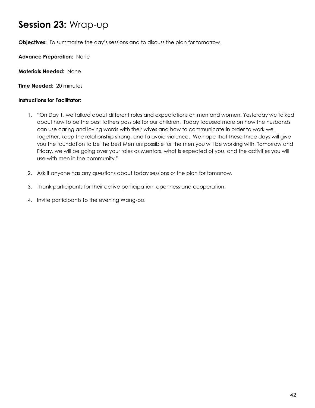### **Session 23:** Wrap-up

**Objectives:** To summarize the day's sessions and to discuss the plan for tomorrow.

**Advance Preparation:** None

**Materials Needed:** None

**Time Needed:** 20 minutes

#### **Instructions for Facilitator:**

- 1. "On Day 1, we talked about different roles and expectations on men and women. Yesterday we talked about how to be the best fathers possible for our children. Today focused more on how the husbands can use caring and loving words with their wives and how to communicate in order to work well together, keep the relationship strong, and to avoid violence. We hope that these three days will give you the foundation to be the best Mentors possible for the men you will be working with. Tomorrow and Friday, we will be going over your roles as Mentors, what is expected of you, and the activities you will use with men in the community."
- 2. Ask if anyone has any questions about today sessions or the plan for tomorrow.
- 3. Thank participants for their active participation, openness and cooperation.
- 4. Invite participants to the evening Wang-oo.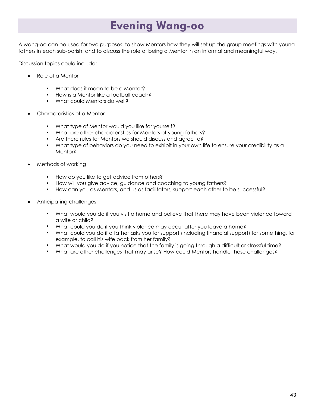### **Evening Wang-oo**

A wang-oo can be used for two purposes: to show Mentors how they will set up the group meetings with young fathers in each sub-parish, and to discuss the role of being a Mentor in an informal and meaningful way.

Discussion topics could include:

- Role of a Mentor
	- **What does it mean to be a Mentor?**
	- **How is a Mentor like a football coach?**
	- What could Mentors do well?
- Characteristics of a Mentor
	- What type of Mentor would you like for yourself?
	- **What are other characteristics for Mentors of young fathers?**
	- **Are there rules for Mentors we should discuss and agree to?**
	- What type of behaviors do you need to exhibit in your own life to ensure your credibility as a Mentor?
- Methods of working
	- **How do you like to get advice from others?**
	- **How will you give advice, guidance and coaching to young fathers?**
	- **How can you as Mentors, and us as facilitators, support each other to be successful?**
- Anticipating challenges
	- What would you do if you visit a home and believe that there may have been violence toward a wife or child?
	- What could you do if you think violence may occur after you leave a home?
	- What could you do if a father asks you for support (including financial support) for something, for example, to call his wife back from her family?
	- What would you do if you notice that the family is going through a difficult or stressful time?
	- What are other challenges that may arise? How could Mentors handle these challenges?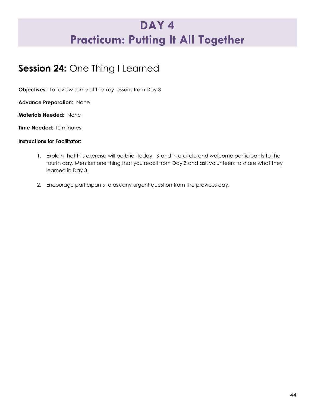### **DAY 4 Practicum: Putting It All Together**

### **Session 24:** One Thing I Learned

**Objectives:** To review some of the key lessons from Day 3

**Advance Preparation:** None

**Materials Needed:** None

**Time Needed:** 10 minutes

#### **Instructions for Facilitator:**

- 1. Explain that this exercise will be brief today. Stand in a circle and welcome participants to the fourth day. Mention one thing that you recall from Day 3 and ask volunteers to share what they learned in Day 3.
- 2. Encourage participants to ask any urgent question from the previous day.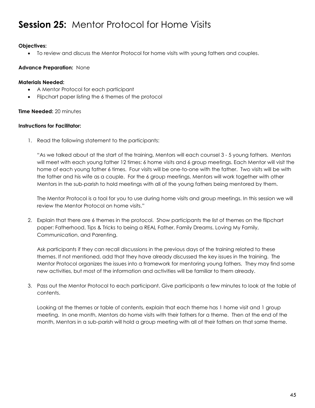### **Session 25:** Mentor Protocol for Home Visits

#### **Objectives:**

To review and discuss the Mentor Protocol for home visits with young fathers and couples.

#### **Advance Preparation:** None

#### **Materials Needed:**

- A Mentor Protocol for each participant
- Flipchart paper listing the 6 themes of the protocol

#### **Time Needed:** 20 minutes

#### **Instructions for Facilitator:**

1. Read the following statement to the participants:

"As we talked about at the start of the training, Mentors will each counsel 3 - 5 young fathers. Mentors will meet with each young father 12 times: 6 home visits and 6 group meetings. Each Mentor will visit the home of each young father 6 times. Four visits will be one-to-one with the father. Two visits will be with the father and his wife as a couple. For the 6 group meetings, Mentors will work together with other Mentors in the sub-parish to hold meetings with all of the young fathers being mentored by them.

The Mentor Protocol is a tool for you to use during home visits and group meetings. In this session we will review the Mentor Protocol on home visits."

2. Explain that there are 6 themes in the protocol. Show participants the list of themes on the flipchart paper: Fatherhood, Tips & Tricks to being a REAL Father, Family Dreams, Loving My Family, Communication, and Parenting.

Ask participants if they can recall discussions in the previous days of the training related to these themes. If not mentioned, add that they have already discussed the key issues in the training. The Mentor Protocol organizes the issues into a framework for mentoring young fathers. They may find some new activities, but most of the information and activities will be familiar to them already.

3. Pass out the Mentor Protocol to each participant. Give participants a few minutes to look at the table of contents.

Looking at the themes or table of contents, explain that each theme has 1 home visit and 1 group meeting. In one month, Mentors do home visits with their fathers for a theme. Then at the end of the month, Mentors in a sub-parish will hold a group meeting with all of their fathers on that same theme.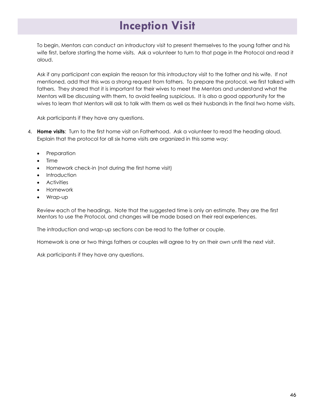### **Inception Visit**

To begin, Mentors can conduct an introductory visit to present themselves to the young father and his wife first, before starting the home visits. Ask a volunteer to turn to that page in the Protocol and read it aloud.

Ask if any participant can explain the reason for this introductory visit to the father and his wife. If not mentioned, add that this was a strong request from fathers. To prepare the protocol, we first talked with fathers. They shared that it is important for their wives to meet the Mentors and understand what the Mentors will be discussing with them, to avoid feeling suspicious. It is also a good opportunity for the wives to learn that Mentors will ask to talk with them as well as their husbands in the final two home visits.

Ask participants if they have any questions.

- 4. **Home visits**: Turn to the first home visit on Fatherhood. Ask a volunteer to read the heading aloud. Explain that the protocol for all six home visits are organized in this same way:
	- Preparation
	- Time
	- Homework check-in (not during the first home visit)
	- **Introduction**
	- Activities
	- Homework
	- Wrap-up

Review each of the headings. Note that the suggested time is only an estimate. They are the first Mentors to use the Protocol, and changes will be made based on their real experiences.

The introduction and wrap-up sections can be read to the father or couple.

Homework is one or two things fathers or couples will agree to try on their own until the next visit.

Ask participants if they have any questions.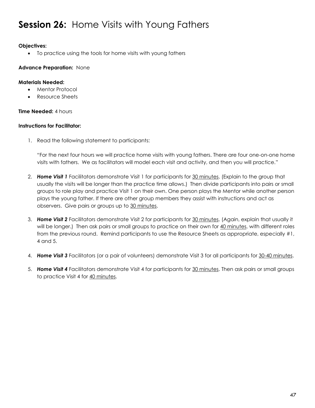### **Session 26:** Home Visits with Young Fathers

#### **Objectives:**

To practice using the tools for home visits with young fathers

#### **Advance Preparation:** None

#### **Materials Needed:**

- Mentor Protocol
- Resource Sheets

#### **Time Needed:** 4 hours

#### **Instructions for Facilitator:**

1. Read the following statement to participants:

"For the next four hours we will practice home visits with young fathers. There are four one-on-one home visits with fathers. We as facilitators will model each visit and activity, and then you will practice."

- 2. *Home Visit 1* Facilitators demonstrate Visit 1 for participants for 30 minutes. (Explain to the group that usually the visits will be longer than the practice time allows.) Then divide participants into pairs or small groups to role play and practice Visit 1 on their own. One person plays the Mentor while another person plays the young father. If there are other group members they assist with instructions and act as observers. Give pairs or groups up to 30 minutes.
- 3. *Home Visit 2* Facilitators demonstrate Visit 2 for participants for 30 minutes. (Again, explain that usually it will be longer.) Then ask pairs or small groups to practice on their own for 40 minutes, with different roles from the previous round. Remind participants to use the Resource Sheets as appropriate, especially #1, 4 and 5.
- 4. *Home Visit 3* Facilitators (or a pair of volunteers) demonstrate Visit 3 for all participants for 30-40 minutes.
- 5. *Home Visit 4* Facilitators demonstrate Visit 4 for participants for 30 minutes. Then ask pairs or small groups to practice Visit 4 for 40 minutes.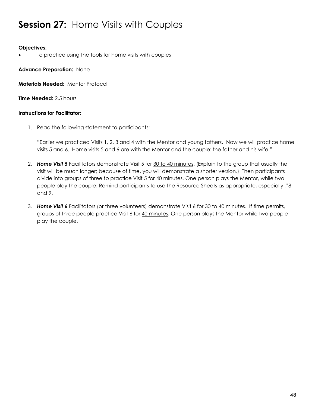### **Session 27:** Home Visits with Couples

#### **Objectives:**

To practice using the tools for home visits with couples

**Advance Preparation:** None

**Materials Needed:** Mentor Protocol

**Time Needed:** 2.5 hours

#### **Instructions for Facilitator:**

1. Read the following statement to participants:

"Earlier we practiced Visits 1, 2, 3 and 4 with the Mentor and young fathers. Now we will practice home visits 5 and 6. Home visits 5 and 6 are with the Mentor and the couple: the father and his wife."

- 2. *Home Visit 5* Facilitators demonstrate Visit 5 for 30 to 40 minutes. (Explain to the group that usually the visit will be much longer; because of time, you will demonstrate a shorter version.) Then participants divide into groups of three to practice Visit 5 for 40 minutes. One person plays the Mentor, while two people play the couple. Remind participants to use the Resource Sheets as appropriate, especially #8 and 9.
- 3. *Home Visit 6* Facilitators (or three volunteers) demonstrate Visit 6 for 30 to 40 minutes. If time permits, groups of three people practice Visit 6 for 40 minutes. One person plays the Mentor while two people play the couple.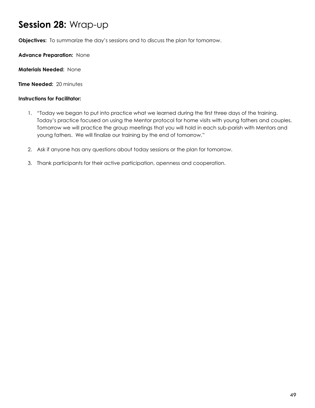### **Session 28:** Wrap-up

**Objectives:** To summarize the day's sessions and to discuss the plan for tomorrow.

**Advance Preparation:** None

**Materials Needed:** None

**Time Needed:** 20 minutes

#### **Instructions for Facilitator:**

- 1. "Today we began to put into practice what we learned during the first three days of the training. Today's practice focused on using the Mentor protocol for home visits with young fathers and couples. Tomorrow we will practice the group meetings that you will hold in each sub-parish with Mentors and young fathers. We will finalize our training by the end of tomorrow."
- 2. Ask if anyone has any questions about today sessions or the plan for tomorrow.
- 3. Thank participants for their active participation, openness and cooperation.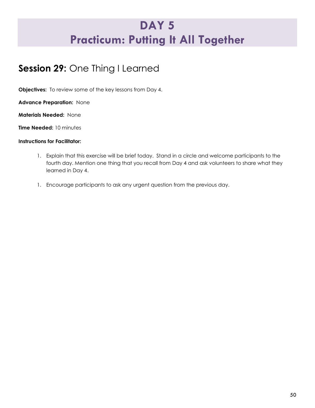### **DAY 5 Practicum: Putting It All Together**

### **Session 29:** One Thing I Learned

**Objectives:** To review some of the key lessons from Day 4.

**Advance Preparation:** None

**Materials Needed:** None

**Time Needed:** 10 minutes

#### **Instructions for Facilitator:**

- 1. Explain that this exercise will be brief today. Stand in a circle and welcome participants to the fourth day. Mention one thing that you recall from Day 4 and ask volunteers to share what they learned in Day 4.
- 1. Encourage participants to ask any urgent question from the previous day.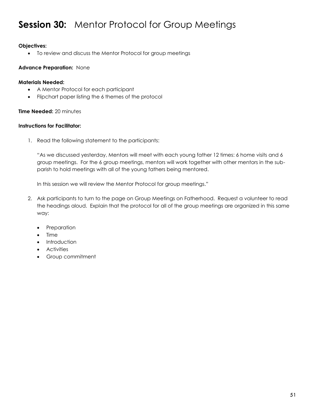### **Session 30:** Mentor Protocol for Group Meetings

#### **Objectives:**

To review and discuss the Mentor Protocol for group meetings

#### **Advance Preparation:** None

#### **Materials Needed:**

- A Mentor Protocol for each participant
- Flipchart paper listing the 6 themes of the protocol

#### **Time Needed:** 20 minutes

#### **Instructions for Facilitator:**

1. Read the following statement to the participants:

"As we discussed yesterday, Mentors will meet with each young father 12 times: 6 home visits and 6 group meetings. For the 6 group meetings, mentors will work together with other mentors in the subparish to hold meetings with all of the young fathers being mentored.

In this session we will review the Mentor Protocol for group meetings."

- 2. Ask participants to turn to the page on Group Meetings on Fatherhood. Request a volunteer to read the headings aloud. Explain that the protocol for all of the group meetings are organized in this same way:
	- Preparation
	- Time
	- Introduction
	- **•** Activities
	- Group commitment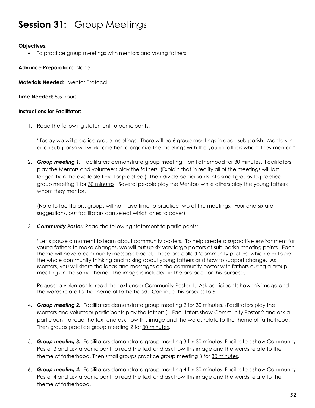### **Session 31:** Group Meetings

#### **Objectives:**

To practice group meetings with mentors and young fathers

**Advance Preparation:** None

**Materials Needed:** Mentor Protocol

**Time Needed:** 5.5 hours

#### **Instructions for Facilitator:**

1. Read the following statement to participants:

"Today we will practice group meetings. There will be 6 group meetings in each sub-parish. Mentors in each sub-parish will work together to organize the meetings with the young fathers whom they mentor."

2. *Group meeting 1:* Facilitators demonstrate group meeting 1 on Fatherhood for 30 minutes. Facilitators play the Mentors and volunteers play the fathers. (Explain that in reality all of the meetings will last longer than the available time for practice.) Then divide participants into small groups to practice group meeting 1 for 30 minutes. Several people play the Mentors while others play the young fathers whom they mentor.

(Note to facilitators: groups will not have time to practice two of the meetings. Four and six are suggestions, but facilitators can select which ones to cover)

3. *Community Poster:* Read the following statement to participants:

"Let's pause a moment to learn about community posters. To help create a supportive environment for young fathers to make changes, we will put up six very large posters at sub-parish meeting points. Each theme will have a community message board. These are called 'community posters' which aim to get the whole community thinking and talking about young fathers and how to support change. As Mentors, you will share the ideas and messages on the community poster with fathers during a group meeting on the same theme. The image is included in the protocol for this purpose."

Request a volunteer to read the text under Community Poster 1. Ask participants how this image and the words relate to the theme of fatherhood. Continue this process to 6.

- 4. *Group meeting 2:* Facilitators demonstrate group meeting 2 for 30 minutes. (Facilitators play the Mentors and volunteer participants play the fathers.) Facilitators show Community Poster 2 and ask a participant to read the text and ask how this image and the words relate to the theme of fatherhood. Then groups practice group meeting 2 for 30 minutes.
- 5. *Group meeting 3:* Facilitators demonstrate group meeting 3 for 30 minutes. Facilitators show Community Poster 3 and ask a participant to read the text and ask how this image and the words relate to the theme of fatherhood. Then small groups practice group meeting 3 for 30 minutes.
- 6. *Group meeting 4:* Facilitators demonstrate group meeting 4 for 30 minutes. Facilitators show Community Poster 4 and ask a participant to read the text and ask how this image and the words relate to the theme of fatherhood.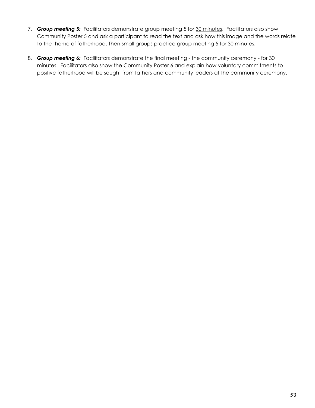- 7. *Group meeting 5:* Facilitators demonstrate group meeting 5 for 30 minutes. Facilitators also show Community Poster 5 and ask a participant to read the text and ask how this image and the words relate to the theme of fatherhood. Then small groups practice group meeting 5 for 30 minutes.
- 8. **Group meeting 6:** Facilitators demonstrate the final meeting the community ceremony for 30 minutes. Facilitators also show the Community Poster 6 and explain how voluntary commitments to positive fatherhood will be sought from fathers and community leaders at the community ceremony.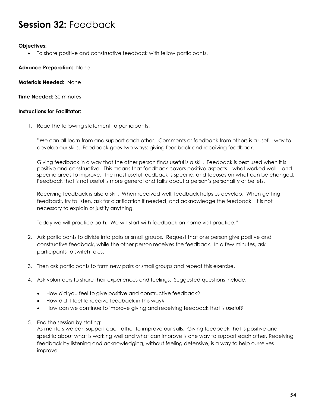### **Session 32:** Feedback

#### **Objectives:**

To share positive and constructive feedback with fellow participants.

**Advance Preparation:** None

**Materials Needed:** None

**Time Needed:** 30 minutes

#### **Instructions for Facilitator:**

1. Read the following statement to participants:

"We can all learn from and support each other. Comments or feedback from others is a useful way to develop our skills. Feedback goes two ways: giving feedback and receiving feedback.

Giving feedback in a way that the other person finds useful is a skill. Feedback is best used when it is positive and constructive. This means that feedback covers positive aspects – what worked well – and specific areas to improve. The most useful feedback is specific, and focuses on what can be changed. Feedback that is not useful is more general and talks about a person's personality or beliefs.

Receiving feedback is also a skill. When received well, feedback helps us develop. When getting feedback, try to listen, ask for clarification if needed, and acknowledge the feedback. It is not necessary to explain or justify anything.

Today we will practice both. We will start with feedback on home visit practice."

- 2. Ask participants to divide into pairs or small groups. Request that one person give positive and constructive feedback, while the other person receives the feedback. In a few minutes, ask participants to switch roles.
- 3. Then ask participants to form new pairs or small groups and repeat this exercise.
- 4. Ask volunteers to share their experiences and feelings. Suggested questions include:
	- How did you feel to give positive and constructive feedback?
	- How did it feel to receive feedback in this way?
	- How can we continue to improve giving and receiving feedback that is useful?
- 5. End the session by stating:

As mentors we can support each other to improve our skills. Giving feedback that is positive and specific about what is working well and what can improve is one way to support each other. Receiving feedback by listening and acknowledging, without feeling defensive, is a way to help ourselves improve.